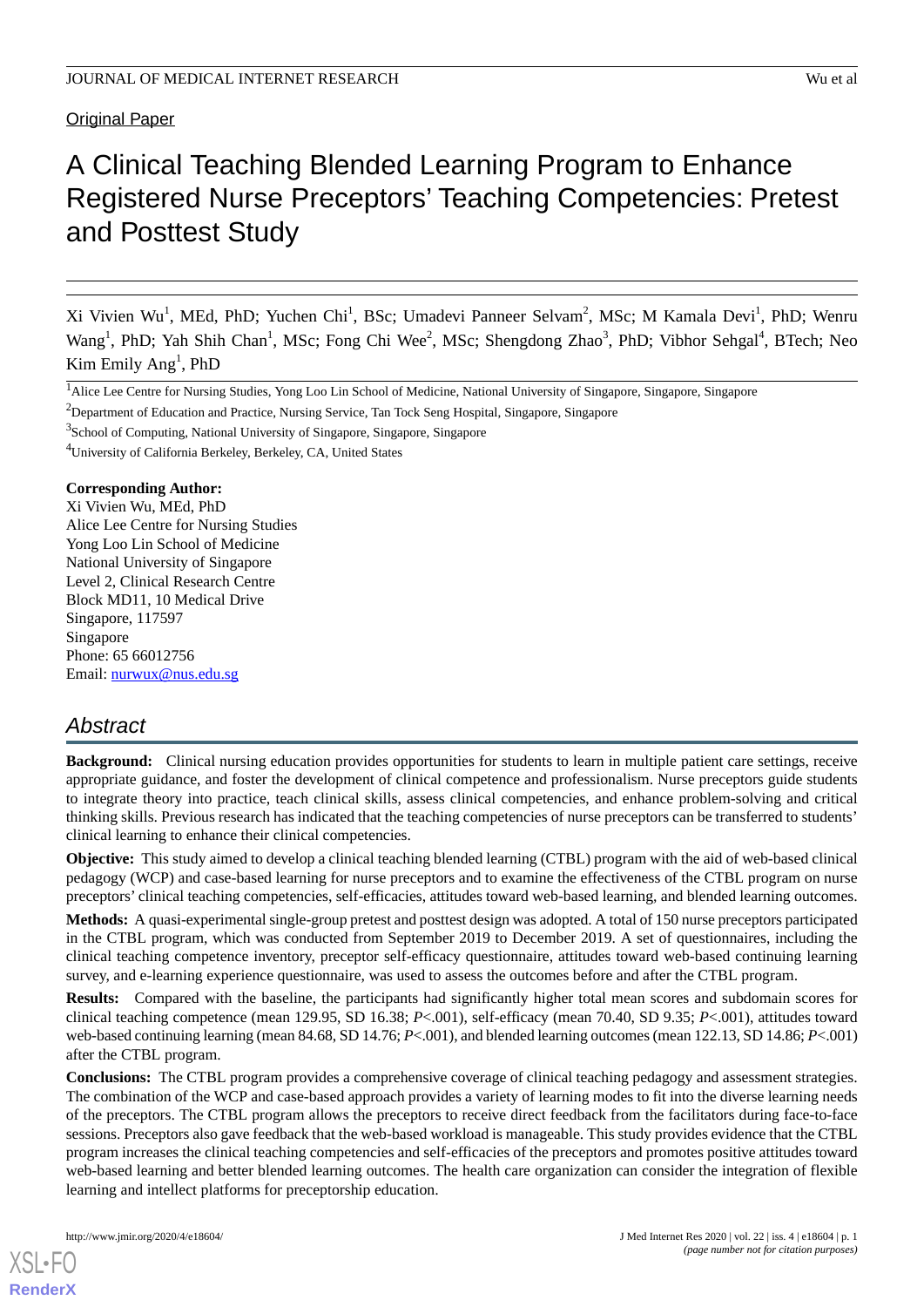### **Original Paper**

# A Clinical Teaching Blended Learning Program to Enhance Registered Nurse Preceptors' Teaching Competencies: Pretest and Posttest Study

Xi Vivien Wu<sup>1</sup>, MEd, PhD; Yuchen Chi<sup>1</sup>, BSc; Umadevi Panneer Selvam<sup>2</sup>, MSc; M Kamala Devi<sup>1</sup>, PhD; Wenru Wang<sup>1</sup>, PhD; Yah Shih Chan<sup>1</sup>, MSc; Fong Chi Wee<sup>2</sup>, MSc; Shengdong Zhao<sup>3</sup>, PhD; Vibhor Sehgal<sup>4</sup>, BTech; Neo Kim Emily Ang<sup>1</sup>, PhD

<sup>4</sup>University of California Berkeley, Berkeley, CA, United States

#### **Corresponding Author:**

Xi Vivien Wu, MEd, PhD Alice Lee Centre for Nursing Studies Yong Loo Lin School of Medicine National University of Singapore Level 2, Clinical Research Centre Block MD11, 10 Medical Drive Singapore, 117597 Singapore Phone: 65 66012756 Email: [nurwux@nus.edu.sg](mailto:nurwux@nus.edu.sg)

# *Abstract*

**Background:** Clinical nursing education provides opportunities for students to learn in multiple patient care settings, receive appropriate guidance, and foster the development of clinical competence and professionalism. Nurse preceptors guide students to integrate theory into practice, teach clinical skills, assess clinical competencies, and enhance problem-solving and critical thinking skills. Previous research has indicated that the teaching competencies of nurse preceptors can be transferred to students' clinical learning to enhance their clinical competencies.

**Objective:** This study aimed to develop a clinical teaching blended learning (CTBL) program with the aid of web-based clinical pedagogy (WCP) and case-based learning for nurse preceptors and to examine the effectiveness of the CTBL program on nurse preceptors' clinical teaching competencies, self-efficacies, attitudes toward web-based learning, and blended learning outcomes.

**Methods:** A quasi-experimental single-group pretest and posttest design was adopted. A total of 150 nurse preceptors participated in the CTBL program, which was conducted from September 2019 to December 2019. A set of questionnaires, including the clinical teaching competence inventory, preceptor self-efficacy questionnaire, attitudes toward web-based continuing learning survey, and e-learning experience questionnaire, was used to assess the outcomes before and after the CTBL program.

**Results:** Compared with the baseline, the participants had significantly higher total mean scores and subdomain scores for clinical teaching competence (mean 129.95, SD 16.38; *P*<.001), self-efficacy (mean 70.40, SD 9.35; *P*<.001), attitudes toward web-based continuing learning (mean 84.68, SD 14.76; *P*<.001), and blended learning outcomes (mean 122.13, SD 14.86; *P*<.001) after the CTBL program.

**Conclusions:** The CTBL program provides a comprehensive coverage of clinical teaching pedagogy and assessment strategies. The combination of the WCP and case-based approach provides a variety of learning modes to fit into the diverse learning needs of the preceptors. The CTBL program allows the preceptors to receive direct feedback from the facilitators during face-to-face sessions. Preceptors also gave feedback that the web-based workload is manageable. This study provides evidence that the CTBL program increases the clinical teaching competencies and self-efficacies of the preceptors and promotes positive attitudes toward web-based learning and better blended learning outcomes. The health care organization can consider the integration of flexible learning and intellect platforms for preceptorship education.

<sup>&</sup>lt;sup>1</sup>Alice Lee Centre for Nursing Studies, Yong Loo Lin School of Medicine, National University of Singapore, Singapore, Singapore

<sup>&</sup>lt;sup>2</sup>Department of Education and Practice, Nursing Service, Tan Tock Seng Hospital, Singapore, Singapore

<sup>&</sup>lt;sup>3</sup>School of Computing, National University of Singapore, Singapore, Singapore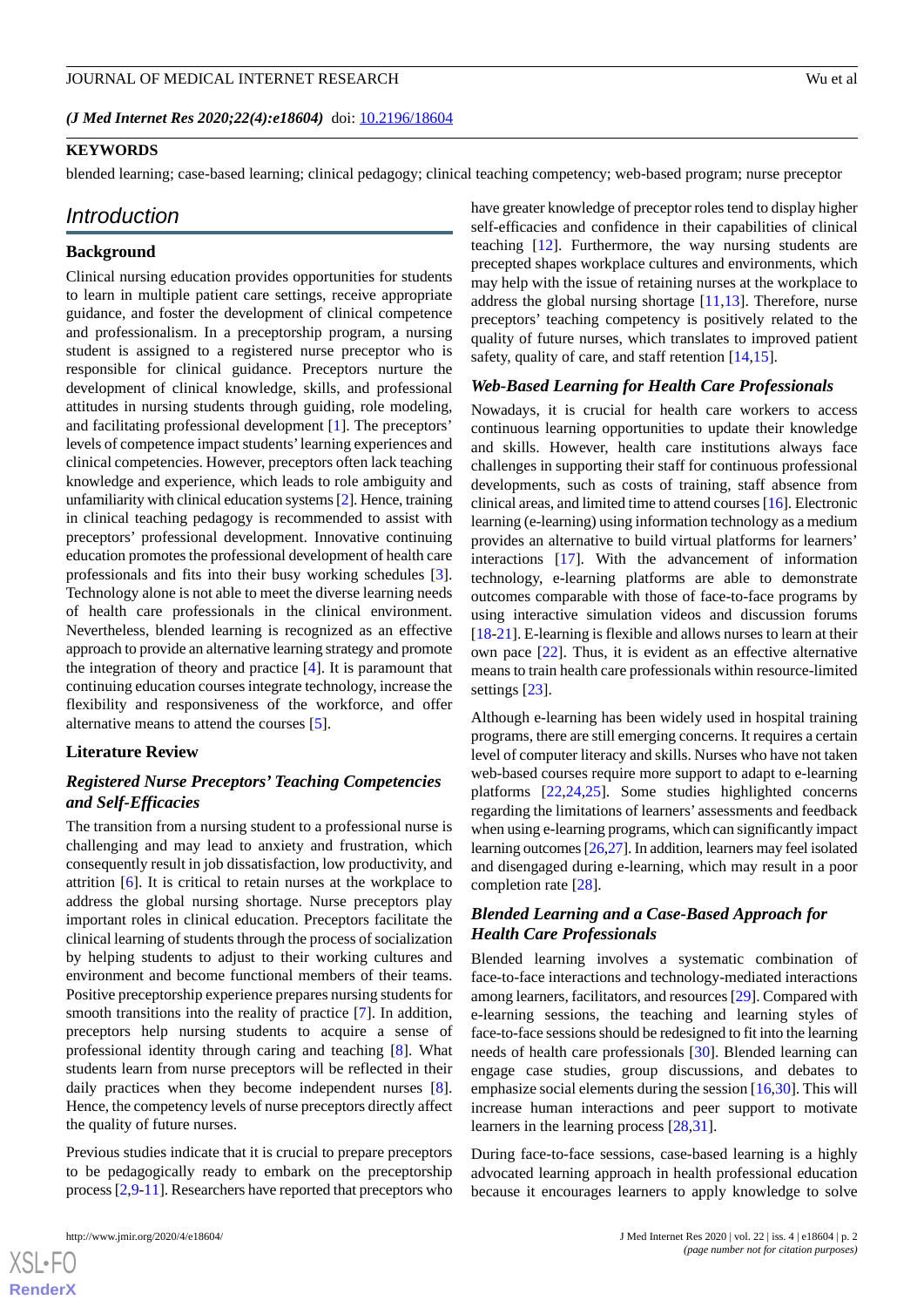*(J Med Internet Res 2020;22(4):e18604)* doi:  $10.2196/18604$ 

#### **KEYWORDS**

blended learning; case-based learning; clinical pedagogy; clinical teaching competency; web-based program; nurse preceptor

#### *Introduction*

#### **Background**

Clinical nursing education provides opportunities for students to learn in multiple patient care settings, receive appropriate guidance, and foster the development of clinical competence and professionalism. In a preceptorship program, a nursing student is assigned to a registered nurse preceptor who is responsible for clinical guidance. Preceptors nurture the development of clinical knowledge, skills, and professional attitudes in nursing students through guiding, role modeling, and facilitating professional development [[1\]](#page-9-0). The preceptors' levels of competence impact students'learning experiences and clinical competencies. However, preceptors often lack teaching knowledge and experience, which leads to role ambiguity and unfamiliarity with clinical education systems [\[2\]](#page-9-1). Hence, training in clinical teaching pedagogy is recommended to assist with preceptors' professional development. Innovative continuing education promotes the professional development of health care professionals and fits into their busy working schedules [[3\]](#page-9-2). Technology alone is not able to meet the diverse learning needs of health care professionals in the clinical environment. Nevertheless, blended learning is recognized as an effective approach to provide an alternative learning strategy and promote the integration of theory and practice [[4\]](#page-9-3). It is paramount that continuing education courses integrate technology, increase the flexibility and responsiveness of the workforce, and offer alternative means to attend the courses [[5\]](#page-9-4).

#### **Literature Review**

#### *Registered Nurse Preceptors' Teaching Competencies and Self-Efficacies*

The transition from a nursing student to a professional nurse is challenging and may lead to anxiety and frustration, which consequently result in job dissatisfaction, low productivity, and attrition [[6\]](#page-9-5). It is critical to retain nurses at the workplace to address the global nursing shortage. Nurse preceptors play important roles in clinical education. Preceptors facilitate the clinical learning of students through the process of socialization by helping students to adjust to their working cultures and environment and become functional members of their teams. Positive preceptorship experience prepares nursing students for smooth transitions into the reality of practice [\[7](#page-9-6)]. In addition, preceptors help nursing students to acquire a sense of professional identity through caring and teaching [[8\]](#page-9-7). What students learn from nurse preceptors will be reflected in their daily practices when they become independent nurses [[8\]](#page-9-7). Hence, the competency levels of nurse preceptors directly affect the quality of future nurses.

Previous studies indicate that it is crucial to prepare preceptors to be pedagogically ready to embark on the preceptorship process [\[2](#page-9-1),[9-](#page-9-8)[11\]](#page-9-9). Researchers have reported that preceptors who have greater knowledge of preceptor roles tend to display higher self-efficacies and confidence in their capabilities of clinical teaching [\[12](#page-9-10)]. Furthermore, the way nursing students are precepted shapes workplace cultures and environments, which may help with the issue of retaining nurses at the workplace to address the global nursing shortage [\[11](#page-9-9),[13\]](#page-9-11). Therefore, nurse preceptors' teaching competency is positively related to the quality of future nurses, which translates to improved patient safety, quality of care, and staff retention [[14,](#page-9-12)[15\]](#page-9-13).

#### *Web-Based Learning for Health Care Professionals*

Nowadays, it is crucial for health care workers to access continuous learning opportunities to update their knowledge and skills. However, health care institutions always face challenges in supporting their staff for continuous professional developments, such as costs of training, staff absence from clinical areas, and limited time to attend courses [[16\]](#page-9-14). Electronic learning (e-learning) using information technology as a medium provides an alternative to build virtual platforms for learners' interactions [[17\]](#page-9-15). With the advancement of information technology, e-learning platforms are able to demonstrate outcomes comparable with those of face-to-face programs by using interactive simulation videos and discussion forums [[18](#page-9-16)[-21](#page-9-17)]. E-learning is flexible and allows nurses to learn at their own pace [[22\]](#page-9-18). Thus, it is evident as an effective alternative means to train health care professionals within resource-limited settings [\[23](#page-10-0)].

Although e-learning has been widely used in hospital training programs, there are still emerging concerns. It requires a certain level of computer literacy and skills. Nurses who have not taken web-based courses require more support to adapt to e-learning platforms [\[22](#page-9-18),[24](#page-10-1)[,25](#page-10-2)]. Some studies highlighted concerns regarding the limitations of learners' assessments and feedback when using e-learning programs, which can significantly impact learning outcomes [[26](#page-10-3),[27\]](#page-10-4). In addition, learners may feel isolated and disengaged during e-learning, which may result in a poor completion rate [[28\]](#page-10-5).

## *Blended Learning and a Case-Based Approach for Health Care Professionals*

Blended learning involves a systematic combination of face-to-face interactions and technology-mediated interactions among learners, facilitators, and resources [\[29](#page-10-6)]. Compared with e-learning sessions, the teaching and learning styles of face-to-face sessions should be redesigned to fit into the learning needs of health care professionals [[30\]](#page-10-7). Blended learning can engage case studies, group discussions, and debates to emphasize social elements during the session [\[16](#page-9-14),[30\]](#page-10-7). This will increase human interactions and peer support to motivate learners in the learning process [[28](#page-10-5)[,31](#page-10-8)].

During face-to-face sessions, case-based learning is a highly advocated learning approach in health professional education because it encourages learners to apply knowledge to solve

```
XS-FO
RenderX
```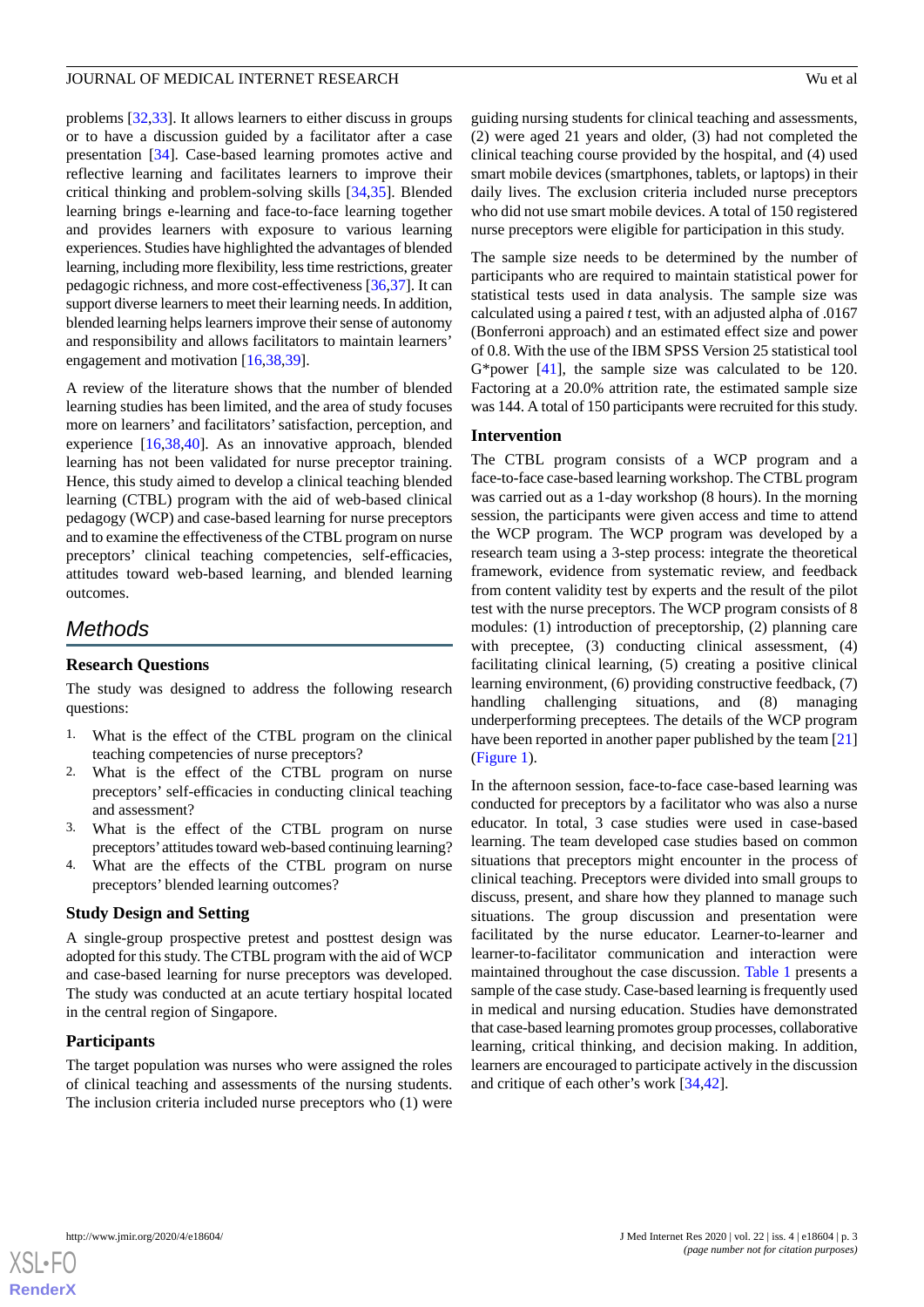problems [[32,](#page-10-9)[33](#page-10-10)]. It allows learners to either discuss in groups or to have a discussion guided by a facilitator after a case presentation [\[34](#page-10-11)]. Case-based learning promotes active and reflective learning and facilitates learners to improve their critical thinking and problem-solving skills [\[34](#page-10-11),[35\]](#page-10-12). Blended learning brings e-learning and face-to-face learning together and provides learners with exposure to various learning experiences. Studies have highlighted the advantages of blended learning, including more flexibility, less time restrictions, greater pedagogic richness, and more cost-effectiveness [\[36](#page-10-13),[37\]](#page-10-14). It can support diverse learners to meet their learning needs. In addition, blended learning helps learners improve their sense of autonomy and responsibility and allows facilitators to maintain learners' engagement and motivation [[16](#page-9-14)[,38](#page-10-15),[39\]](#page-10-16).

A review of the literature shows that the number of blended learning studies has been limited, and the area of study focuses more on learners' and facilitators'satisfaction, perception, and experience [[16](#page-9-14)[,38](#page-10-15),[40\]](#page-10-17). As an innovative approach, blended learning has not been validated for nurse preceptor training. Hence, this study aimed to develop a clinical teaching blended learning (CTBL) program with the aid of web-based clinical pedagogy (WCP) and case-based learning for nurse preceptors and to examine the effectiveness of the CTBL program on nurse preceptors' clinical teaching competencies, self-efficacies, attitudes toward web-based learning, and blended learning outcomes.

# *Methods*

#### **Research Questions**

The study was designed to address the following research questions:

- 1. What is the effect of the CTBL program on the clinical teaching competencies of nurse preceptors?
- 2. What is the effect of the CTBL program on nurse preceptors' self-efficacies in conducting clinical teaching and assessment?
- 3. What is the effect of the CTBL program on nurse preceptors'attitudes toward web-based continuing learning?
- 4. What are the effects of the CTBL program on nurse preceptors' blended learning outcomes?

#### **Study Design and Setting**

A single-group prospective pretest and posttest design was adopted for this study. The CTBL program with the aid of WCP and case-based learning for nurse preceptors was developed. The study was conducted at an acute tertiary hospital located in the central region of Singapore.

#### **Participants**

The target population was nurses who were assigned the roles of clinical teaching and assessments of the nursing students. The inclusion criteria included nurse preceptors who (1) were guiding nursing students for clinical teaching and assessments, (2) were aged 21 years and older, (3) had not completed the clinical teaching course provided by the hospital, and (4) used smart mobile devices (smartphones, tablets, or laptops) in their daily lives. The exclusion criteria included nurse preceptors who did not use smart mobile devices. A total of 150 registered nurse preceptors were eligible for participation in this study.

The sample size needs to be determined by the number of participants who are required to maintain statistical power for statistical tests used in data analysis. The sample size was calculated using a paired *t* test, with an adjusted alpha of .0167 (Bonferroni approach) and an estimated effect size and power of 0.8. With the use of the IBM SPSS Version 25 statistical tool G\*power [\[41](#page-10-18)], the sample size was calculated to be 120. Factoring at a 20.0% attrition rate, the estimated sample size was 144. A total of 150 participants were recruited for this study.

#### **Intervention**

The CTBL program consists of a WCP program and a face-to-face case-based learning workshop. The CTBL program was carried out as a 1-day workshop (8 hours). In the morning session, the participants were given access and time to attend the WCP program. The WCP program was developed by a research team using a 3-step process: integrate the theoretical framework, evidence from systematic review, and feedback from content validity test by experts and the result of the pilot test with the nurse preceptors. The WCP program consists of 8 modules: (1) introduction of preceptorship, (2) planning care with preceptee, (3) conducting clinical assessment, (4) facilitating clinical learning, (5) creating a positive clinical learning environment, (6) providing constructive feedback, (7) handling challenging situations, and (8) managing underperforming preceptees. The details of the WCP program have been reported in another paper published by the team [\[21](#page-9-17)] ([Figure 1\)](#page-3-0).

In the afternoon session, face-to-face case-based learning was conducted for preceptors by a facilitator who was also a nurse educator. In total, 3 case studies were used in case-based learning. The team developed case studies based on common situations that preceptors might encounter in the process of clinical teaching. Preceptors were divided into small groups to discuss, present, and share how they planned to manage such situations. The group discussion and presentation were facilitated by the nurse educator. Learner-to-learner and learner-to-facilitator communication and interaction were maintained throughout the case discussion. [Table 1](#page-3-1) presents a sample of the case study. Case-based learning is frequently used in medical and nursing education. Studies have demonstrated that case-based learning promotes group processes, collaborative learning, critical thinking, and decision making. In addition, learners are encouraged to participate actively in the discussion and critique of each other's work [\[34](#page-10-11),[42\]](#page-10-19).

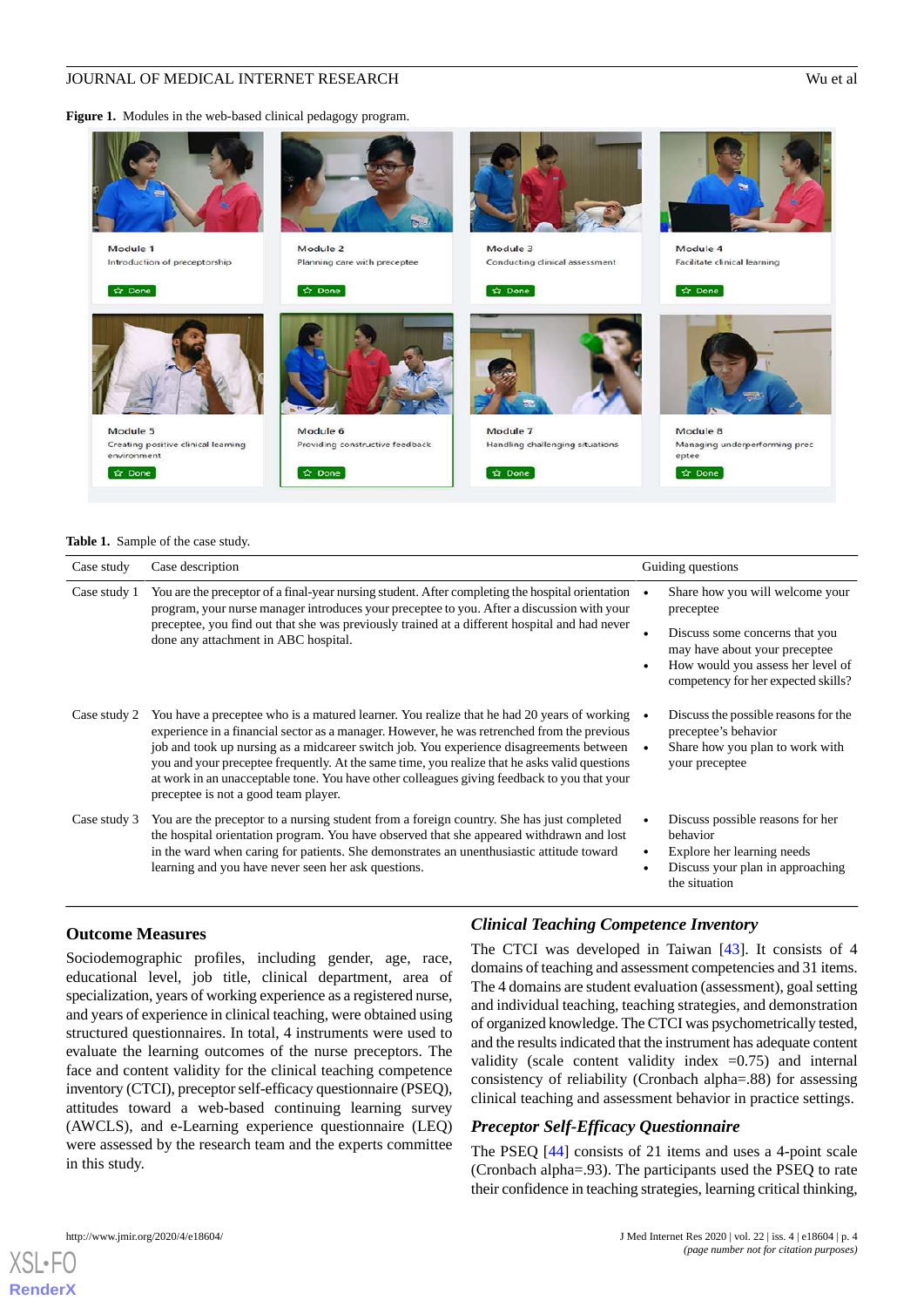<span id="page-3-0"></span>**Figure 1.** Modules in the web-based clinical pedagogy program.



#### <span id="page-3-1"></span>**Table 1.** Sample of the case study.

| Case study   | Case description                                                                                                                                                                                                                                                                                                                                                                                                                                                                                                             |                        | Guiding questions                                                                                                                           |  |  |
|--------------|------------------------------------------------------------------------------------------------------------------------------------------------------------------------------------------------------------------------------------------------------------------------------------------------------------------------------------------------------------------------------------------------------------------------------------------------------------------------------------------------------------------------------|------------------------|---------------------------------------------------------------------------------------------------------------------------------------------|--|--|
| Case study 1 | You are the preceptor of a final-year nursing student. After completing the hospital orientation<br>program, your nurse manager introduces your preceptee to you. After a discussion with your<br>preceptee, you find out that she was previously trained at a different hospital and had never<br>done any attachment in ABC hospital.                                                                                                                                                                                      |                        | Share how you will welcome your<br>preceptee                                                                                                |  |  |
|              |                                                                                                                                                                                                                                                                                                                                                                                                                                                                                                                              | $\bullet$              | Discuss some concerns that you<br>may have about your preceptee<br>How would you assess her level of<br>competency for her expected skills? |  |  |
| Case study 2 | You have a preceptee who is a matured learner. You realize that he had 20 years of working<br>experience in a financial sector as a manager. However, he was retrenched from the previous<br>job and took up nursing as a midcareer switch job. You experience disagreements between<br>you and your preceptee frequently. At the same time, you realize that he asks valid questions<br>at work in an unacceptable tone. You have other colleagues giving feedback to you that your<br>preceptee is not a good team player. |                        | Discuss the possible reasons for the<br>preceptee's behavior<br>Share how you plan to work with<br>your preceptee                           |  |  |
| Case study 3 | You are the preceptor to a nursing student from a foreign country. She has just completed<br>the hospital orientation program. You have observed that she appeared withdrawn and lost<br>in the ward when caring for patients. She demonstrates an unenthusiastic attitude toward<br>learning and you have never seen her ask questions.                                                                                                                                                                                     | $\bullet$<br>$\bullet$ | Discuss possible reasons for her<br>behavior<br>Explore her learning needs<br>Discuss your plan in approaching<br>the situation             |  |  |

#### **Outcome Measures**

Sociodemographic profiles, including gender, age, race, educational level, job title, clinical department, area of specialization, years of working experience as a registered nurse, and years of experience in clinical teaching, were obtained using structured questionnaires. In total, 4 instruments were used to evaluate the learning outcomes of the nurse preceptors. The face and content validity for the clinical teaching competence inventory (CTCI), preceptor self-efficacy questionnaire (PSEQ), attitudes toward a web-based continuing learning survey (AWCLS), and e-Learning experience questionnaire (LEQ) were assessed by the research team and the experts committee in this study.

### *Clinical Teaching Competence Inventory*

The CTCI was developed in Taiwan [[43\]](#page-10-20). It consists of 4 domains of teaching and assessment competencies and 31 items. The 4 domains are student evaluation (assessment), goal setting and individual teaching, teaching strategies, and demonstration of organized knowledge. The CTCI was psychometrically tested, and the results indicated that the instrument has adequate content validity (scale content validity index  $=0.75$ ) and internal consistency of reliability (Cronbach alpha=.88) for assessing clinical teaching and assessment behavior in practice settings.

#### *Preceptor Self-Efficacy Questionnaire*

The PSEQ [[44\]](#page-10-21) consists of 21 items and uses a 4-point scale (Cronbach alpha=.93). The participants used the PSEQ to rate their confidence in teaching strategies, learning critical thinking,

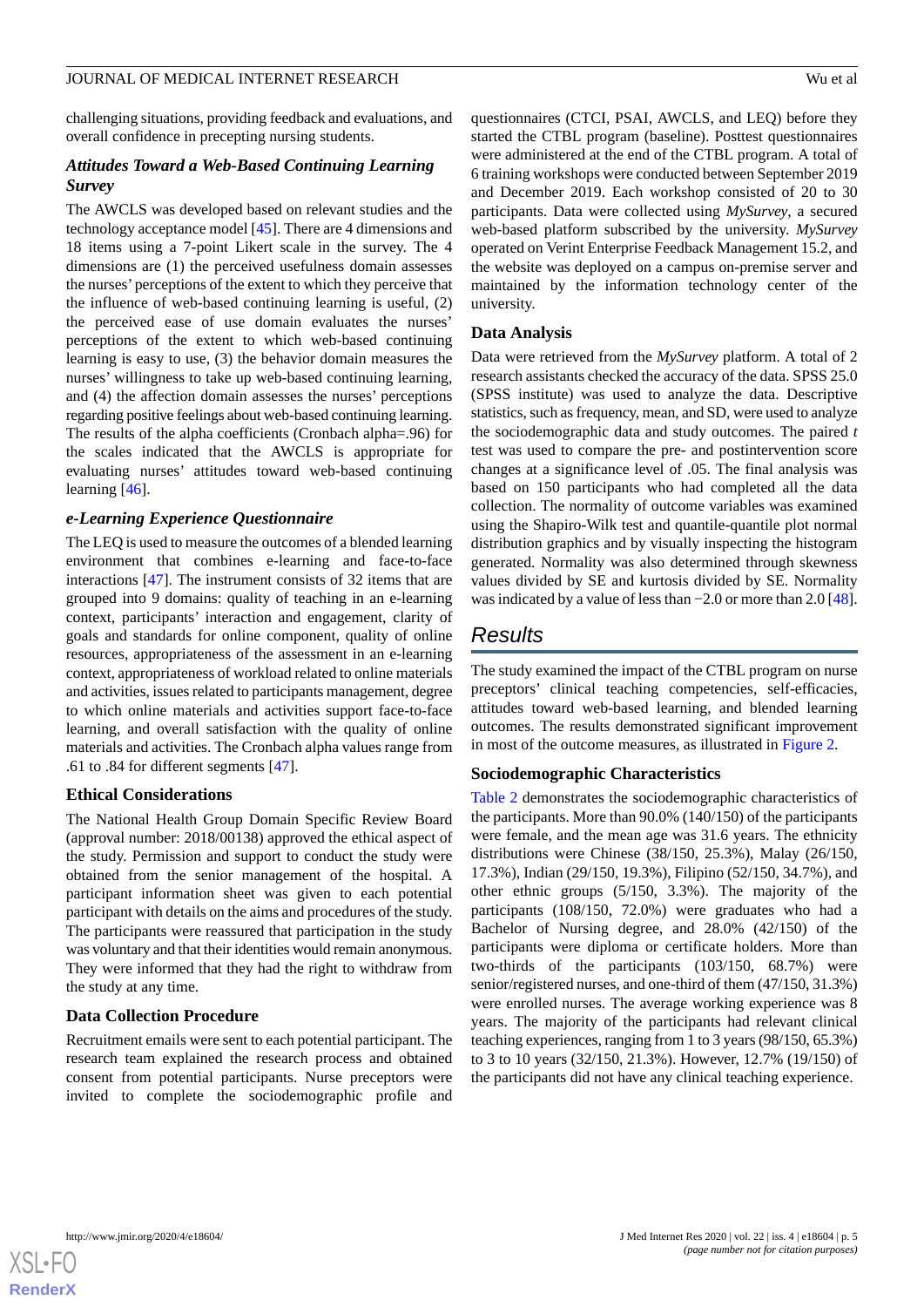challenging situations, providing feedback and evaluations, and overall confidence in precepting nursing students.

### *Attitudes Toward a Web-Based Continuing Learning Survey*

The AWCLS was developed based on relevant studies and the technology acceptance model [\[45](#page-10-22)]. There are 4 dimensions and 18 items using a 7-point Likert scale in the survey. The 4 dimensions are (1) the perceived usefulness domain assesses the nurses' perceptions of the extent to which they perceive that the influence of web-based continuing learning is useful, (2) the perceived ease of use domain evaluates the nurses' perceptions of the extent to which web-based continuing learning is easy to use, (3) the behavior domain measures the nurses' willingness to take up web-based continuing learning, and (4) the affection domain assesses the nurses' perceptions regarding positive feelings about web-based continuing learning. The results of the alpha coefficients (Cronbach alpha=.96) for the scales indicated that the AWCLS is appropriate for evaluating nurses' attitudes toward web-based continuing learning [\[46](#page-10-23)].

#### *e-Learning Experience Questionnaire*

The LEQ is used to measure the outcomes of a blended learning environment that combines e-learning and face-to-face interactions [\[47](#page-10-24)]. The instrument consists of 32 items that are grouped into 9 domains: quality of teaching in an e-learning context, participants' interaction and engagement, clarity of goals and standards for online component, quality of online resources, appropriateness of the assessment in an e-learning context, appropriateness of workload related to online materials and activities, issues related to participants management, degree to which online materials and activities support face-to-face learning, and overall satisfaction with the quality of online materials and activities. The Cronbach alpha values range from .61 to .84 for different segments [\[47](#page-10-24)].

#### **Ethical Considerations**

The National Health Group Domain Specific Review Board (approval number: 2018/00138) approved the ethical aspect of the study. Permission and support to conduct the study were obtained from the senior management of the hospital. A participant information sheet was given to each potential participant with details on the aims and procedures of the study. The participants were reassured that participation in the study was voluntary and that their identities would remain anonymous. They were informed that they had the right to withdraw from the study at any time.

#### **Data Collection Procedure**

Recruitment emails were sent to each potential participant. The research team explained the research process and obtained consent from potential participants. Nurse preceptors were invited to complete the sociodemographic profile and

questionnaires (CTCI, PSAI, AWCLS, and LEQ) before they started the CTBL program (baseline). Posttest questionnaires were administered at the end of the CTBL program. A total of 6 training workshops were conducted between September 2019 and December 2019. Each workshop consisted of 20 to 30 participants. Data were collected using *MySurvey*, a secured web-based platform subscribed by the university. *MySurvey* operated on Verint Enterprise Feedback Management 15.2, and the website was deployed on a campus on-premise server and maintained by the information technology center of the university.

#### **Data Analysis**

Data were retrieved from the *MySurvey* platform. A total of 2 research assistants checked the accuracy of the data. SPSS 25.0 (SPSS institute) was used to analyze the data. Descriptive statistics, such as frequency, mean, and SD, were used to analyze the sociodemographic data and study outcomes. The paired *t* test was used to compare the pre- and postintervention score changes at a significance level of .05. The final analysis was based on 150 participants who had completed all the data collection. The normality of outcome variables was examined using the Shapiro-Wilk test and quantile-quantile plot normal distribution graphics and by visually inspecting the histogram generated. Normality was also determined through skewness values divided by SE and kurtosis divided by SE. Normality was indicated by a value of less than −2.0 or more than 2.0 [[48\]](#page-11-0).

# *Results*

The study examined the impact of the CTBL program on nurse preceptors' clinical teaching competencies, self-efficacies, attitudes toward web-based learning, and blended learning outcomes. The results demonstrated significant improvement in most of the outcome measures, as illustrated in [Figure 2.](#page-5-0)

#### **Sociodemographic Characteristics**

[Table 2](#page-5-1) demonstrates the sociodemographic characteristics of the participants. More than 90.0% (140/150) of the participants were female, and the mean age was 31.6 years. The ethnicity distributions were Chinese (38/150, 25.3%), Malay (26/150, 17.3%), Indian (29/150, 19.3%), Filipino (52/150, 34.7%), and other ethnic groups (5/150, 3.3%). The majority of the participants (108/150, 72.0%) were graduates who had a Bachelor of Nursing degree, and 28.0% (42/150) of the participants were diploma or certificate holders. More than two-thirds of the participants (103/150, 68.7%) were senior/registered nurses, and one-third of them (47/150, 31.3%) were enrolled nurses. The average working experience was 8 years. The majority of the participants had relevant clinical teaching experiences, ranging from 1 to 3 years (98/150, 65.3%) to 3 to 10 years (32/150, 21.3%). However, 12.7% (19/150) of the participants did not have any clinical teaching experience.

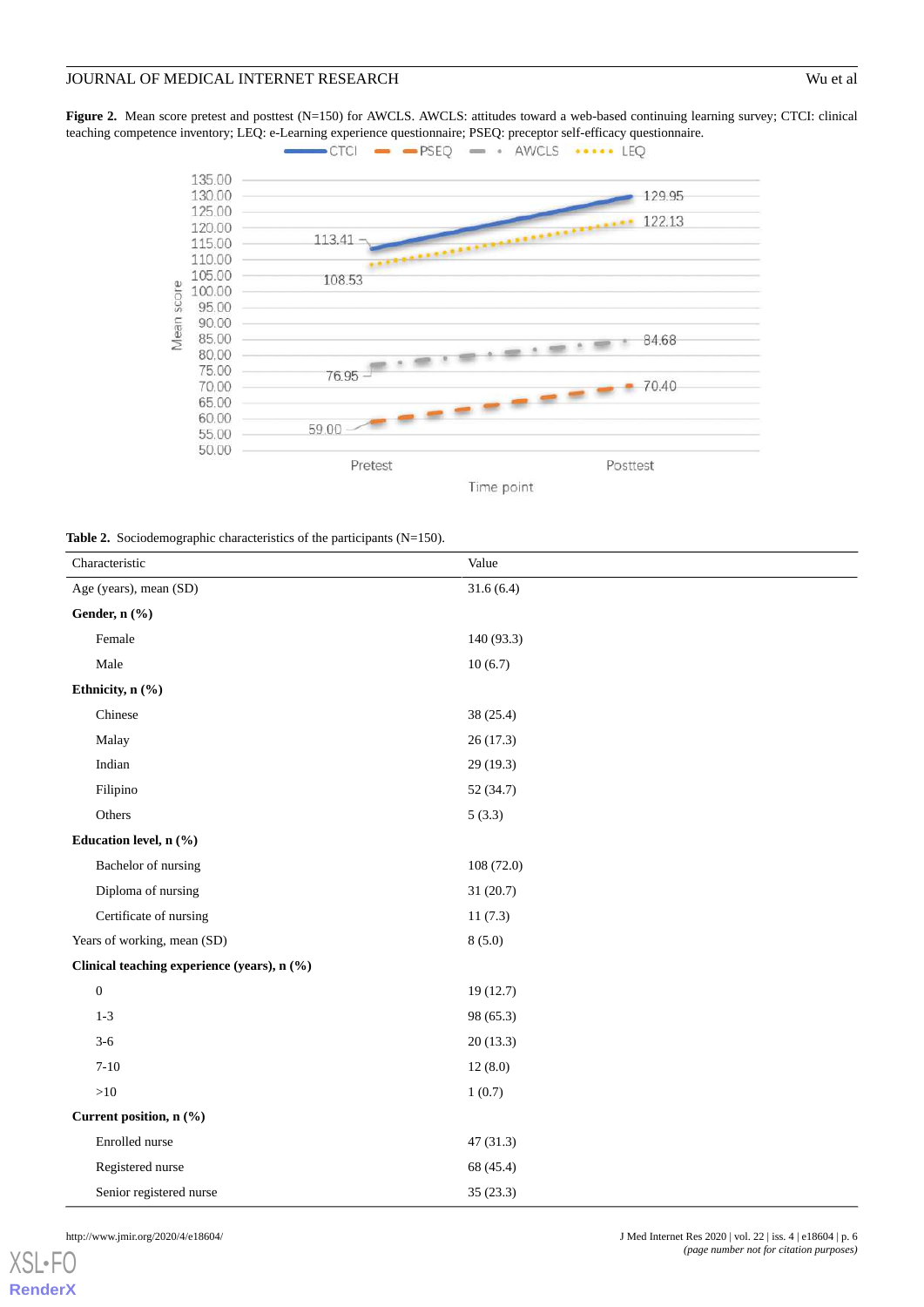<span id="page-5-0"></span>**Figure 2.** Mean score pretest and posttest (N=150) for AWCLS. AWCLS: attitudes toward a web-based continuing learning survey; CTCI: clinical teaching competence inventory; LEQ: e-Learning experience questionnaire; PSEQ: preceptor self-efficacy questionnaire.



<span id="page-5-1"></span>

| <b>Table 2.</b> Sociodemographic characteristics of the participants $(N=150)$ . |  |  |
|----------------------------------------------------------------------------------|--|--|
|                                                                                  |  |  |

| Characteristic                              | Value      |
|---------------------------------------------|------------|
| Age (years), mean (SD)                      | 31.6(6.4)  |
| Gender, n (%)                               |            |
| Female                                      | 140 (93.3) |
| Male                                        | 10(6.7)    |
| Ethnicity, n (%)                            |            |
| Chinese                                     | 38 (25.4)  |
| Malay                                       | 26(17.3)   |
| Indian                                      | 29 (19.3)  |
| Filipino                                    | 52 (34.7)  |
| Others                                      | 5(3.3)     |
| Education level, n (%)                      |            |
| Bachelor of nursing                         | 108 (72.0) |
| Diploma of nursing                          | 31(20.7)   |
| Certificate of nursing                      | 11(7.3)    |
| Years of working, mean (SD)                 | 8(5.0)     |
| Clinical teaching experience (years), n (%) |            |
| $\boldsymbol{0}$                            | 19(12.7)   |
| $1 - 3$                                     | 98 (65.3)  |
| $3-6$                                       | 20(13.3)   |
| $7 - 10$                                    | 12(8.0)    |
| ${>}10$                                     | 1(0.7)     |
| Current position, n (%)                     |            |
| Enrolled nurse                              | 47(31.3)   |
| Registered nurse                            | 68 (45.4)  |
| Senior registered nurse                     | 35 (23.3)  |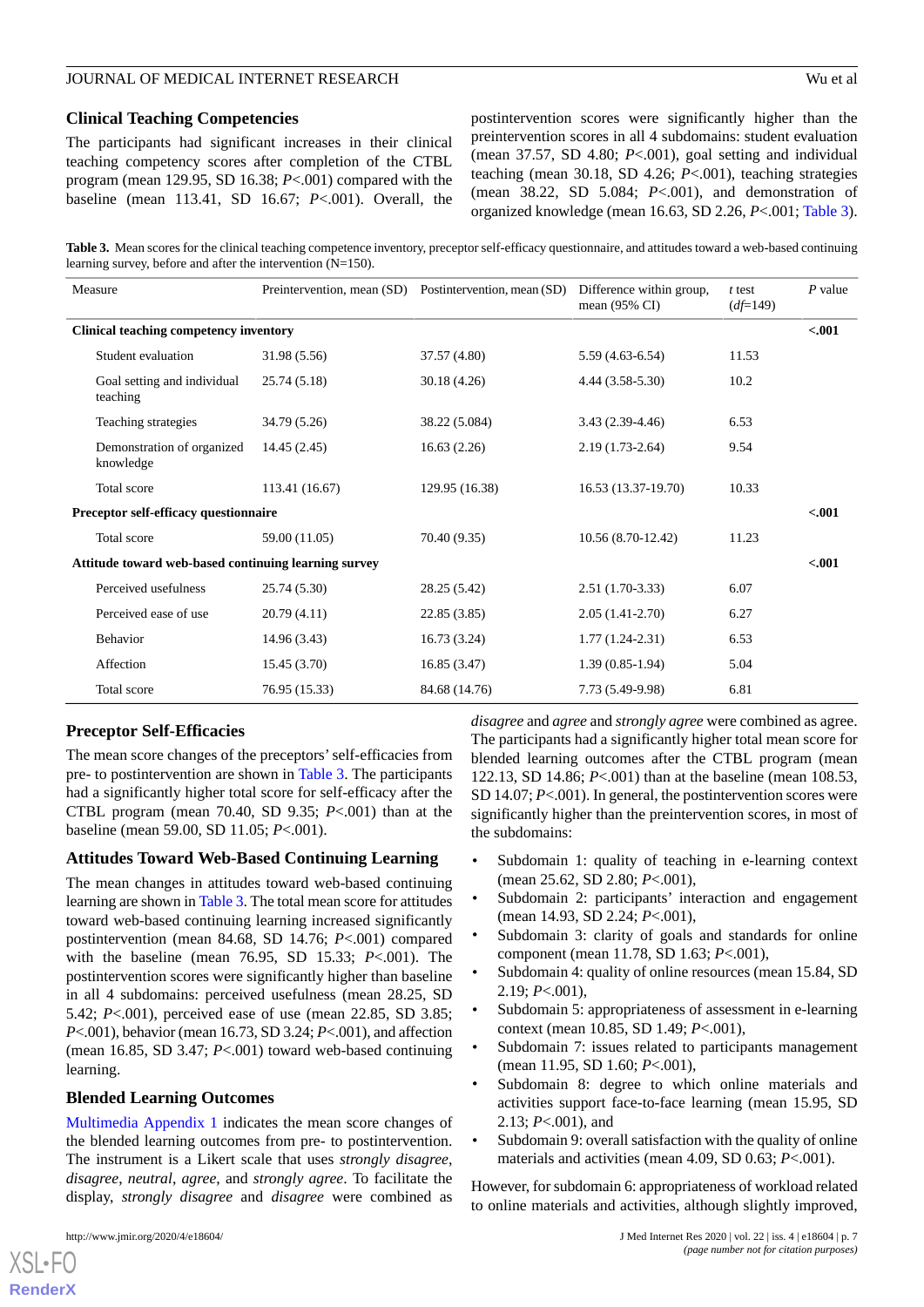#### **Clinical Teaching Competencies**

The participants had significant increases in their clinical teaching competency scores after completion of the CTBL program (mean 129.95, SD 16.38; *P*<.001) compared with the baseline (mean 113.41, SD 16.67; *P*<.001). Overall, the postintervention scores were significantly higher than the preintervention scores in all 4 subdomains: student evaluation (mean 37.57, SD 4.80; *P*<.001), goal setting and individual teaching (mean 30.18, SD 4.26; *P*<.001), teaching strategies (mean 38.22, SD 5.084; *P*<.001), and demonstration of organized knowledge (mean 16.63, SD 2.26, *P*<.001; [Table 3\)](#page-6-0).

<span id="page-6-0"></span>**Table 3.** Mean scores for the clinical teaching competence inventory, preceptor self-efficacy questionnaire, and attitudes toward a web-based continuing learning survey, before and after the intervention (N=150).

| Measure                                              | Preintervention, mean (SD) | Postintervention, mean (SD) | Difference within group,<br>mean $(95\% \text{ CI})$ | $t$ test<br>$(d \neq 149)$ | $P$ value |
|------------------------------------------------------|----------------------------|-----------------------------|------------------------------------------------------|----------------------------|-----------|
| <b>Clinical teaching competency inventory</b>        |                            |                             |                                                      |                            | $-.001$   |
| Student evaluation                                   | 31.98 (5.56)               | 37.57 (4.80)                | $5.59(4.63-6.54)$                                    | 11.53                      |           |
| Goal setting and individual<br>teaching              | 25.74 (5.18)               | 30.18(4.26)                 | $4.44(3.58-5.30)$                                    | 10.2                       |           |
| Teaching strategies                                  | 34.79 (5.26)               | 38.22 (5.084)               | $3.43(2.39-4.46)$                                    | 6.53                       |           |
| Demonstration of organized<br>knowledge              | 14.45(2.45)                | 16.63(2.26)                 | $2.19(1.73-2.64)$                                    | 9.54                       |           |
| Total score                                          | 113.41 (16.67)             | 129.95 (16.38)              | 16.53 (13.37-19.70)                                  | 10.33                      |           |
| Preceptor self-efficacy questionnaire                |                            |                             |                                                      |                            | $-.001$   |
| Total score                                          | 59.00 (11.05)              | 70.40 (9.35)                | 10.56 (8.70-12.42)                                   | 11.23                      |           |
| Attitude toward web-based continuing learning survey |                            |                             |                                                      |                            | $-.001$   |
| Perceived usefulness                                 | 25.74 (5.30)               | 28.25 (5.42)                | $2.51(1.70-3.33)$                                    | 6.07                       |           |
| Perceived ease of use                                | 20.79(4.11)                | 22.85(3.85)                 | $2.05(1.41-2.70)$                                    | 6.27                       |           |
| <b>Behavior</b>                                      | 14.96 (3.43)               | 16.73(3.24)                 | $1.77(1.24-2.31)$                                    | 6.53                       |           |
| Affection                                            | 15.45(3.70)                | 16.85(3.47)                 | $1.39(0.85-1.94)$                                    | 5.04                       |           |
| Total score                                          | 76.95 (15.33)              | 84.68 (14.76)               | 7.73 (5.49-9.98)                                     | 6.81                       |           |

#### **Preceptor Self-Efficacies**

The mean score changes of the preceptors'self-efficacies from pre- to postintervention are shown in [Table 3.](#page-6-0) The participants had a significantly higher total score for self-efficacy after the CTBL program (mean 70.40, SD 9.35; *P*<.001) than at the baseline (mean 59.00, SD 11.05; *P*<.001).

#### **Attitudes Toward Web-Based Continuing Learning**

The mean changes in attitudes toward web-based continuing learning are shown in [Table 3.](#page-6-0) The total mean score for attitudes toward web-based continuing learning increased significantly postintervention (mean 84.68, SD 14.76; *P*<.001) compared with the baseline (mean 76.95, SD 15.33; *P*<.001). The postintervention scores were significantly higher than baseline in all 4 subdomains: perceived usefulness (mean 28.25, SD 5.42; *P*<.001), perceived ease of use (mean 22.85, SD 3.85; *P*<.001), behavior (mean 16.73, SD 3.24; *P*<.001), and affection (mean 16.85, SD 3.47; *P*<.001) toward web-based continuing learning.

### **Blended Learning Outcomes**

[Multimedia Appendix 1](#page-9-19) indicates the mean score changes of the blended learning outcomes from pre- to postintervention. The instrument is a Likert scale that uses *strongly disagree*, *disagree*, *neutral*, *agree*, and *strongly agree*. To facilitate the display, *strongly disagree* and *disagree* were combined as

[XSL](http://www.w3.org/Style/XSL)•FO **[RenderX](http://www.renderx.com/)**

*disagree* and *agree* and *strongly agree* were combined as agree. The participants had a significantly higher total mean score for blended learning outcomes after the CTBL program (mean 122.13, SD 14.86; *P*<.001) than at the baseline (mean 108.53, SD 14.07; *P*<.001). In general, the postintervention scores were significantly higher than the preintervention scores, in most of the subdomains:

- Subdomain 1: quality of teaching in e-learning context (mean 25.62, SD 2.80; *P*<.001),
- Subdomain 2: participants' interaction and engagement (mean 14.93, SD 2.24; *P*<.001),
- Subdomain 3: clarity of goals and standards for online component (mean 11.78, SD 1.63; *P*<.001),
- Subdomain 4: quality of online resources (mean 15.84, SD 2.19; *P*<.001),
- Subdomain 5: appropriateness of assessment in e-learning context (mean 10.85, SD 1.49; *P*<.001),
- Subdomain 7: issues related to participants management (mean 11.95, SD 1.60; *P*<.001),
- Subdomain 8: degree to which online materials and activities support face-to-face learning (mean 15.95, SD 2.13; *P*<.001), and
- Subdomain 9: overall satisfaction with the quality of online materials and activities (mean 4.09, SD 0.63; *P*<.001).

However, for subdomain 6: appropriateness of workload related to online materials and activities, although slightly improved,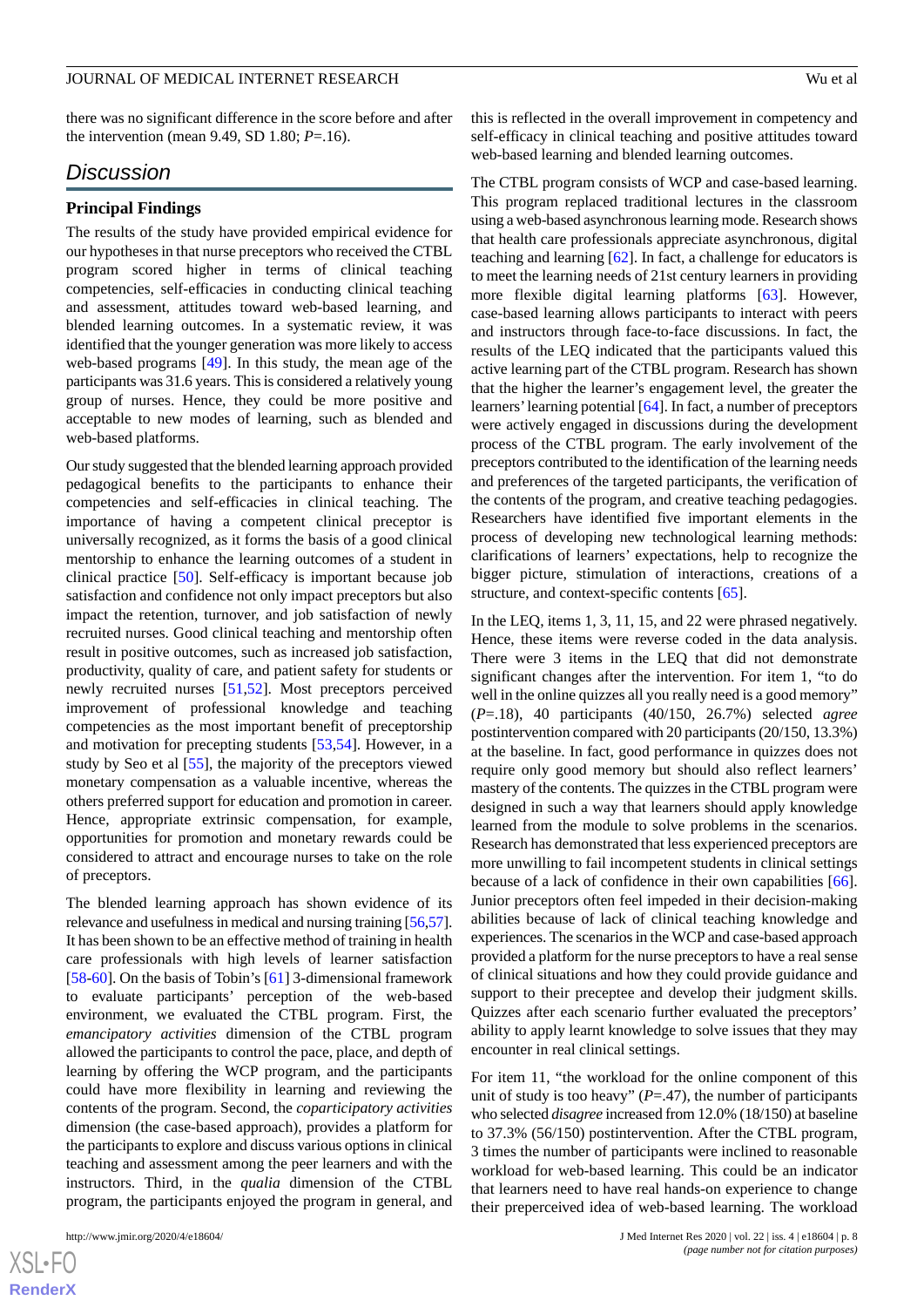there was no significant difference in the score before and after the intervention (mean 9.49, SD 1.80; *P*=.16).

#### *Discussion*

#### **Principal Findings**

The results of the study have provided empirical evidence for our hypotheses in that nurse preceptors who received the CTBL program scored higher in terms of clinical teaching competencies, self-efficacies in conducting clinical teaching and assessment, attitudes toward web-based learning, and blended learning outcomes. In a systematic review, it was identified that the younger generation was more likely to access web-based programs [\[49](#page-11-1)]. In this study, the mean age of the participants was 31.6 years. This is considered a relatively young group of nurses. Hence, they could be more positive and acceptable to new modes of learning, such as blended and web-based platforms.

Our study suggested that the blended learning approach provided pedagogical benefits to the participants to enhance their competencies and self-efficacies in clinical teaching. The importance of having a competent clinical preceptor is universally recognized, as it forms the basis of a good clinical mentorship to enhance the learning outcomes of a student in clinical practice [[50\]](#page-11-2). Self-efficacy is important because job satisfaction and confidence not only impact preceptors but also impact the retention, turnover, and job satisfaction of newly recruited nurses. Good clinical teaching and mentorship often result in positive outcomes, such as increased job satisfaction, productivity, quality of care, and patient safety for students or newly recruited nurses [[51](#page-11-3)[,52](#page-11-4)]. Most preceptors perceived improvement of professional knowledge and teaching competencies as the most important benefit of preceptorship and motivation for precepting students [\[53](#page-11-5),[54\]](#page-11-6). However, in a study by Seo et al [[55\]](#page-11-7), the majority of the preceptors viewed monetary compensation as a valuable incentive, whereas the others preferred support for education and promotion in career. Hence, appropriate extrinsic compensation, for example, opportunities for promotion and monetary rewards could be considered to attract and encourage nurses to take on the role of preceptors.

The blended learning approach has shown evidence of its relevance and usefulness in medical and nursing training [\[56](#page-11-8)[,57\]](#page-11-9). It has been shown to be an effective method of training in health care professionals with high levels of learner satisfaction [[58](#page-11-10)[-60](#page-11-11)]. On the basis of Tobin's [\[61](#page-11-12)] 3-dimensional framework to evaluate participants' perception of the web-based environment, we evaluated the CTBL program. First, the *emancipatory activities* dimension of the CTBL program allowed the participants to control the pace, place, and depth of learning by offering the WCP program, and the participants could have more flexibility in learning and reviewing the contents of the program. Second, the *coparticipatory activities* dimension (the case-based approach), provides a platform for the participants to explore and discuss various options in clinical teaching and assessment among the peer learners and with the instructors. Third, in the *qualia* dimension of the CTBL program, the participants enjoyed the program in general, and

[XSL](http://www.w3.org/Style/XSL)•FO **[RenderX](http://www.renderx.com/)** this is reflected in the overall improvement in competency and self-efficacy in clinical teaching and positive attitudes toward web-based learning and blended learning outcomes.

The CTBL program consists of WCP and case-based learning. This program replaced traditional lectures in the classroom using a web-based asynchronous learning mode. Research shows that health care professionals appreciate asynchronous, digital teaching and learning [\[62](#page-11-13)]. In fact, a challenge for educators is to meet the learning needs of 21st century learners in providing more flexible digital learning platforms [\[63](#page-11-14)]. However, case-based learning allows participants to interact with peers and instructors through face-to-face discussions. In fact, the results of the LEQ indicated that the participants valued this active learning part of the CTBL program. Research has shown that the higher the learner's engagement level, the greater the learners'learning potential [[64\]](#page-11-15). In fact, a number of preceptors were actively engaged in discussions during the development process of the CTBL program. The early involvement of the preceptors contributed to the identification of the learning needs and preferences of the targeted participants, the verification of the contents of the program, and creative teaching pedagogies. Researchers have identified five important elements in the process of developing new technological learning methods: clarifications of learners' expectations, help to recognize the bigger picture, stimulation of interactions, creations of a structure, and context-specific contents [[65\]](#page-11-16).

In the LEQ, items 1, 3, 11, 15, and 22 were phrased negatively. Hence, these items were reverse coded in the data analysis. There were 3 items in the LEQ that did not demonstrate significant changes after the intervention. For item 1, "to do well in the online quizzes all you really need is a good memory" (*P*=.18), 40 participants (40/150, 26.7%) selected *agree* postintervention compared with 20 participants (20/150, 13.3%) at the baseline. In fact, good performance in quizzes does not require only good memory but should also reflect learners' mastery of the contents. The quizzes in the CTBL program were designed in such a way that learners should apply knowledge learned from the module to solve problems in the scenarios. Research has demonstrated that less experienced preceptors are more unwilling to fail incompetent students in clinical settings because of a lack of confidence in their own capabilities [[66\]](#page-11-17). Junior preceptors often feel impeded in their decision-making abilities because of lack of clinical teaching knowledge and experiences. The scenarios in the WCP and case-based approach provided a platform for the nurse preceptors to have a real sense of clinical situations and how they could provide guidance and support to their preceptee and develop their judgment skills. Quizzes after each scenario further evaluated the preceptors' ability to apply learnt knowledge to solve issues that they may encounter in real clinical settings.

For item 11, "the workload for the online component of this unit of study is too heavy"  $(P=.47)$ , the number of participants who selected *disagree* increased from 12.0% (18/150) at baseline to 37.3% (56/150) postintervention. After the CTBL program, 3 times the number of participants were inclined to reasonable workload for web-based learning. This could be an indicator that learners need to have real hands-on experience to change their preperceived idea of web-based learning. The workload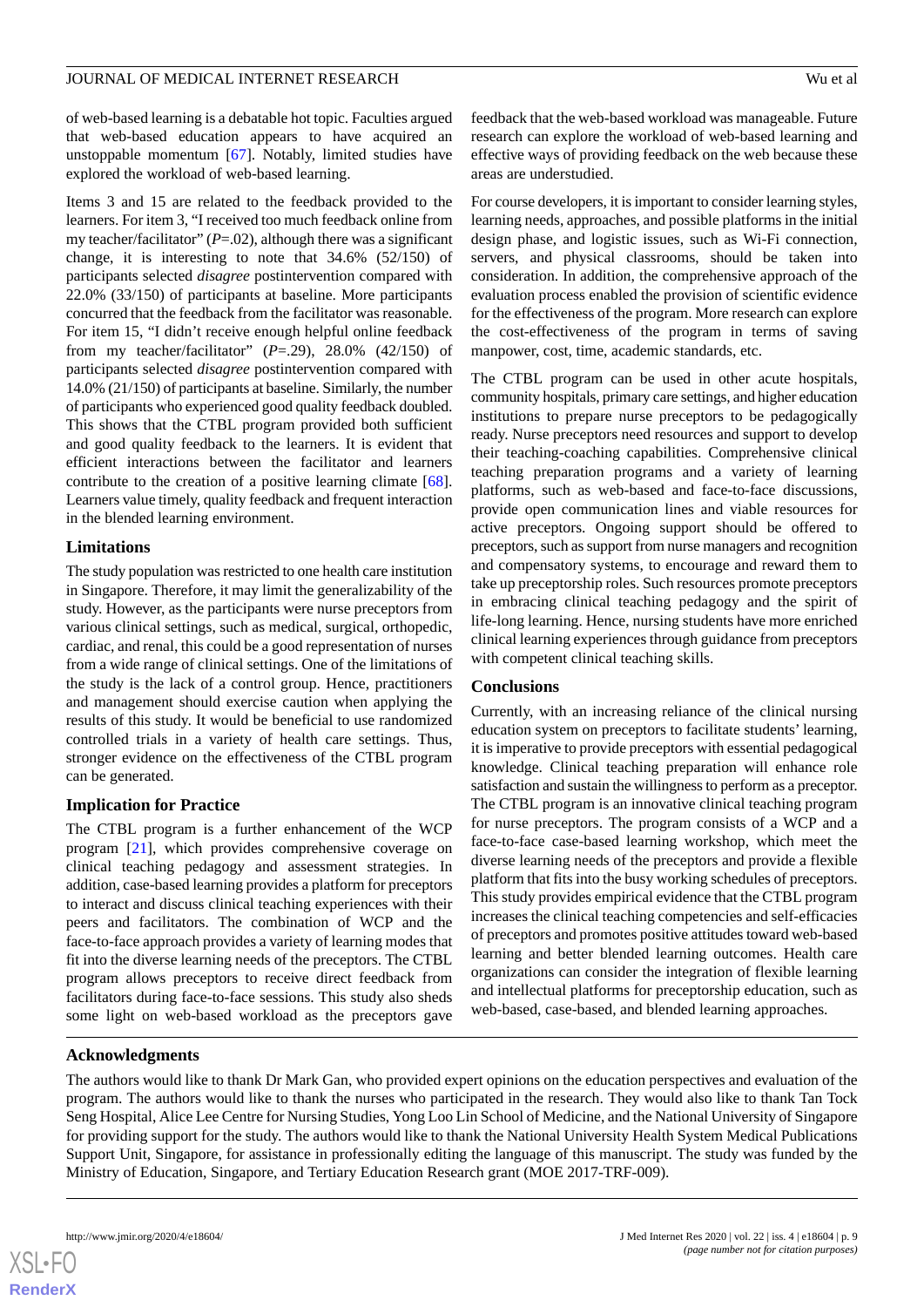of web-based learning is a debatable hot topic. Faculties argued that web-based education appears to have acquired an unstoppable momentum [[67\]](#page-11-18). Notably, limited studies have explored the workload of web-based learning.

Items 3 and 15 are related to the feedback provided to the learners. For item 3, "I received too much feedback online from my teacher/facilitator"  $(P=.02)$ , although there was a significant change, it is interesting to note that 34.6% (52/150) of participants selected *disagree* postintervention compared with 22.0% (33/150) of participants at baseline. More participants concurred that the feedback from the facilitator was reasonable. For item 15, "I didn't receive enough helpful online feedback from my teacher/facilitator" (*P*=.29), 28.0% (42/150) of participants selected *disagree* postintervention compared with 14.0% (21/150) of participants at baseline. Similarly, the number of participants who experienced good quality feedback doubled. This shows that the CTBL program provided both sufficient and good quality feedback to the learners. It is evident that efficient interactions between the facilitator and learners contribute to the creation of a positive learning climate [[68\]](#page-11-19). Learners value timely, quality feedback and frequent interaction in the blended learning environment.

#### **Limitations**

The study population was restricted to one health care institution in Singapore. Therefore, it may limit the generalizability of the study. However, as the participants were nurse preceptors from various clinical settings, such as medical, surgical, orthopedic, cardiac, and renal, this could be a good representation of nurses from a wide range of clinical settings. One of the limitations of the study is the lack of a control group. Hence, practitioners and management should exercise caution when applying the results of this study. It would be beneficial to use randomized controlled trials in a variety of health care settings. Thus, stronger evidence on the effectiveness of the CTBL program can be generated.

### **Implication for Practice**

The CTBL program is a further enhancement of the WCP program [[21\]](#page-9-17), which provides comprehensive coverage on clinical teaching pedagogy and assessment strategies. In addition, case-based learning provides a platform for preceptors to interact and discuss clinical teaching experiences with their peers and facilitators. The combination of WCP and the face-to-face approach provides a variety of learning modes that fit into the diverse learning needs of the preceptors. The CTBL program allows preceptors to receive direct feedback from facilitators during face-to-face sessions. This study also sheds some light on web-based workload as the preceptors gave

feedback that the web-based workload was manageable. Future research can explore the workload of web-based learning and effective ways of providing feedback on the web because these areas are understudied.

For course developers, it is important to consider learning styles, learning needs, approaches, and possible platforms in the initial design phase, and logistic issues, such as Wi-Fi connection, servers, and physical classrooms, should be taken into consideration. In addition, the comprehensive approach of the evaluation process enabled the provision of scientific evidence for the effectiveness of the program. More research can explore the cost-effectiveness of the program in terms of saving manpower, cost, time, academic standards, etc.

The CTBL program can be used in other acute hospitals, community hospitals, primary care settings, and higher education institutions to prepare nurse preceptors to be pedagogically ready. Nurse preceptors need resources and support to develop their teaching-coaching capabilities. Comprehensive clinical teaching preparation programs and a variety of learning platforms, such as web-based and face-to-face discussions, provide open communication lines and viable resources for active preceptors. Ongoing support should be offered to preceptors, such as support from nurse managers and recognition and compensatory systems, to encourage and reward them to take up preceptorship roles. Such resources promote preceptors in embracing clinical teaching pedagogy and the spirit of life-long learning. Hence, nursing students have more enriched clinical learning experiences through guidance from preceptors with competent clinical teaching skills.

#### **Conclusions**

Currently, with an increasing reliance of the clinical nursing education system on preceptors to facilitate students' learning, it is imperative to provide preceptors with essential pedagogical knowledge. Clinical teaching preparation will enhance role satisfaction and sustain the willingness to perform as a preceptor. The CTBL program is an innovative clinical teaching program for nurse preceptors. The program consists of a WCP and a face-to-face case-based learning workshop, which meet the diverse learning needs of the preceptors and provide a flexible platform that fits into the busy working schedules of preceptors. This study provides empirical evidence that the CTBL program increases the clinical teaching competencies and self-efficacies of preceptors and promotes positive attitudes toward web-based learning and better blended learning outcomes. Health care organizations can consider the integration of flexible learning and intellectual platforms for preceptorship education, such as web-based, case-based, and blended learning approaches.

### **Acknowledgments**

The authors would like to thank Dr Mark Gan, who provided expert opinions on the education perspectives and evaluation of the program. The authors would like to thank the nurses who participated in the research. They would also like to thank Tan Tock Seng Hospital, Alice Lee Centre for Nursing Studies, Yong Loo Lin School of Medicine, and the National University of Singapore for providing support for the study. The authors would like to thank the National University Health System Medical Publications Support Unit, Singapore, for assistance in professionally editing the language of this manuscript. The study was funded by the Ministry of Education, Singapore, and Tertiary Education Research grant (MOE 2017-TRF-009).

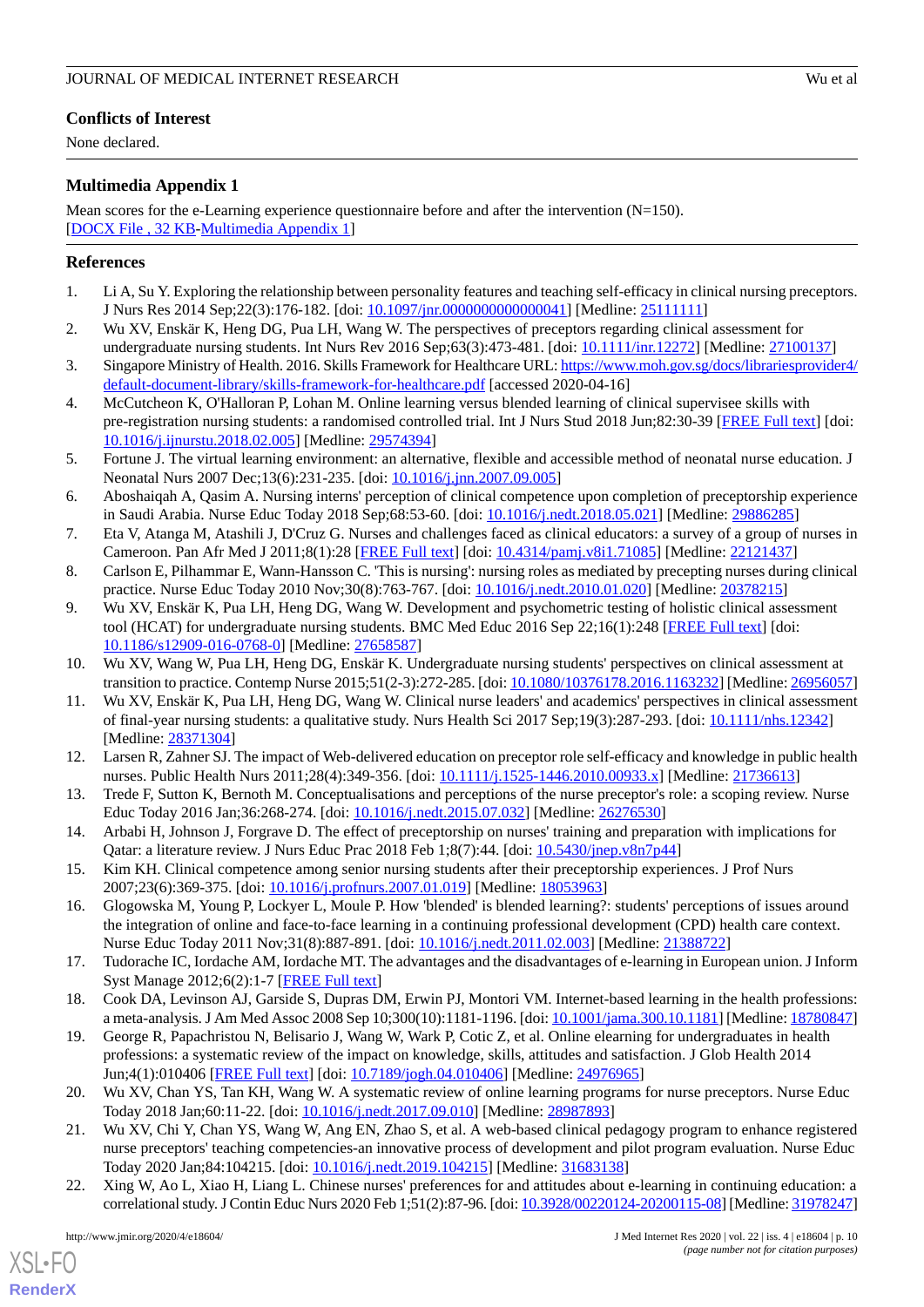# **Conflicts of Interest**

None declared.

# <span id="page-9-19"></span>**Multimedia Appendix 1**

Mean scores for the e-Learning experience questionnaire before and after the intervention (N=150). [[DOCX File , 32 KB](https://jmir.org/api/download?alt_name=jmir_v22i4e18604_app1.docx&filename=43aeb6705445e13d39f76d3f306e0661.docx)-[Multimedia Appendix 1\]](https://jmir.org/api/download?alt_name=jmir_v22i4e18604_app1.docx&filename=43aeb6705445e13d39f76d3f306e0661.docx)

# <span id="page-9-0"></span>**References**

- <span id="page-9-1"></span>1. Li A, Su Y. Exploring the relationship between personality features and teaching self-efficacy in clinical nursing preceptors. J Nurs Res 2014 Sep;22(3):176-182. [doi: [10.1097/jnr.0000000000000041](http://dx.doi.org/10.1097/jnr.0000000000000041)] [Medline: [25111111\]](http://www.ncbi.nlm.nih.gov/entrez/query.fcgi?cmd=Retrieve&db=PubMed&list_uids=25111111&dopt=Abstract)
- <span id="page-9-2"></span>2. Wu XV, Enskär K, Heng DG, Pua LH, Wang W. The perspectives of preceptors regarding clinical assessment for undergraduate nursing students. Int Nurs Rev 2016 Sep;63(3):473-481. [doi: [10.1111/inr.12272](http://dx.doi.org/10.1111/inr.12272)] [Medline: [27100137\]](http://www.ncbi.nlm.nih.gov/entrez/query.fcgi?cmd=Retrieve&db=PubMed&list_uids=27100137&dopt=Abstract)
- <span id="page-9-3"></span>3. Singapore Ministry of Health. 2016. Skills Framework for Healthcare URL: [https://www.moh.gov.sg/docs/librariesprovider4/](https://www.moh.gov.sg/docs/librariesprovider4/default-document-library/skills-framework-for-healthcare.pdf) [default-document-library/skills-framework-for-healthcare.pdf](https://www.moh.gov.sg/docs/librariesprovider4/default-document-library/skills-framework-for-healthcare.pdf) [accessed 2020-04-16]
- <span id="page-9-4"></span>4. McCutcheon K, O'Halloran P, Lohan M. Online learning versus blended learning of clinical supervisee skills with pre-registration nursing students: a randomised controlled trial. Int J Nurs Stud 2018 Jun;82:30-39 [\[FREE Full text\]](https://linkinghub.elsevier.com/retrieve/pii/S0020-7489(18)30048-8) [doi: [10.1016/j.ijnurstu.2018.02.005](http://dx.doi.org/10.1016/j.ijnurstu.2018.02.005)] [Medline: [29574394\]](http://www.ncbi.nlm.nih.gov/entrez/query.fcgi?cmd=Retrieve&db=PubMed&list_uids=29574394&dopt=Abstract)
- <span id="page-9-5"></span>5. Fortune J. The virtual learning environment: an alternative, flexible and accessible method of neonatal nurse education. J Neonatal Nurs 2007 Dec;13(6):231-235. [doi: [10.1016/j.jnn.2007.09.005](http://dx.doi.org/10.1016/j.jnn.2007.09.005)]
- <span id="page-9-6"></span>6. Aboshaiqah A, Qasim A. Nursing interns' perception of clinical competence upon completion of preceptorship experience in Saudi Arabia. Nurse Educ Today 2018 Sep;68:53-60. [doi: [10.1016/j.nedt.2018.05.021](http://dx.doi.org/10.1016/j.nedt.2018.05.021)] [Medline: [29886285\]](http://www.ncbi.nlm.nih.gov/entrez/query.fcgi?cmd=Retrieve&db=PubMed&list_uids=29886285&dopt=Abstract)
- <span id="page-9-8"></span><span id="page-9-7"></span>7. Eta V, Atanga M, Atashili J, D'Cruz G. Nurses and challenges faced as clinical educators: a survey of a group of nurses in Cameroon. Pan Afr Med J 2011;8(1):28 [\[FREE Full text\]](http://www.panafrican-med-journal.com/content/article/8/28/full/) [doi: [10.4314/pamj.v8i1.71085\]](http://dx.doi.org/10.4314/pamj.v8i1.71085) [Medline: [22121437\]](http://www.ncbi.nlm.nih.gov/entrez/query.fcgi?cmd=Retrieve&db=PubMed&list_uids=22121437&dopt=Abstract)
- 8. Carlson E, Pilhammar E, Wann-Hansson C. 'This is nursing': nursing roles as mediated by precepting nurses during clinical practice. Nurse Educ Today 2010 Nov;30(8):763-767. [doi: [10.1016/j.nedt.2010.01.020\]](http://dx.doi.org/10.1016/j.nedt.2010.01.020) [Medline: [20378215](http://www.ncbi.nlm.nih.gov/entrez/query.fcgi?cmd=Retrieve&db=PubMed&list_uids=20378215&dopt=Abstract)]
- <span id="page-9-9"></span>9. Wu XV, Enskär K, Pua LH, Heng DG, Wang W. Development and psychometric testing of holistic clinical assessment tool (HCAT) for undergraduate nursing students. BMC Med Educ 2016 Sep 22;16(1):248 [\[FREE Full text\]](https://bmcmededuc.biomedcentral.com/articles/10.1186/s12909-016-0768-0) [doi: [10.1186/s12909-016-0768-0\]](http://dx.doi.org/10.1186/s12909-016-0768-0) [Medline: [27658587](http://www.ncbi.nlm.nih.gov/entrez/query.fcgi?cmd=Retrieve&db=PubMed&list_uids=27658587&dopt=Abstract)]
- 10. Wu XV, Wang W, Pua LH, Heng DG, Enskär K. Undergraduate nursing students' perspectives on clinical assessment at transition to practice. Contemp Nurse 2015;51(2-3):272-285. [doi: [10.1080/10376178.2016.1163232](http://dx.doi.org/10.1080/10376178.2016.1163232)] [Medline: [26956057\]](http://www.ncbi.nlm.nih.gov/entrez/query.fcgi?cmd=Retrieve&db=PubMed&list_uids=26956057&dopt=Abstract)
- <span id="page-9-11"></span><span id="page-9-10"></span>11. Wu XV, Enskär K, Pua LH, Heng DG, Wang W. Clinical nurse leaders' and academics' perspectives in clinical assessment of final-year nursing students: a qualitative study. Nurs Health Sci 2017 Sep;19(3):287-293. [doi: [10.1111/nhs.12342\]](http://dx.doi.org/10.1111/nhs.12342) [Medline: [28371304](http://www.ncbi.nlm.nih.gov/entrez/query.fcgi?cmd=Retrieve&db=PubMed&list_uids=28371304&dopt=Abstract)]
- <span id="page-9-12"></span>12. Larsen R, Zahner SJ. The impact of Web-delivered education on preceptor role self-efficacy and knowledge in public health nurses. Public Health Nurs 2011;28(4):349-356. [doi: [10.1111/j.1525-1446.2010.00933.x\]](http://dx.doi.org/10.1111/j.1525-1446.2010.00933.x) [Medline: [21736613](http://www.ncbi.nlm.nih.gov/entrez/query.fcgi?cmd=Retrieve&db=PubMed&list_uids=21736613&dopt=Abstract)]
- <span id="page-9-13"></span>13. Trede F, Sutton K, Bernoth M. Conceptualisations and perceptions of the nurse preceptor's role: a scoping review. Nurse Educ Today 2016 Jan;36:268-274. [doi: [10.1016/j.nedt.2015.07.032](http://dx.doi.org/10.1016/j.nedt.2015.07.032)] [Medline: [26276530\]](http://www.ncbi.nlm.nih.gov/entrez/query.fcgi?cmd=Retrieve&db=PubMed&list_uids=26276530&dopt=Abstract)
- <span id="page-9-14"></span>14. Arbabi H, Johnson J, Forgrave D. The effect of preceptorship on nurses' training and preparation with implications for Qatar: a literature review. J Nurs Educ Prac 2018 Feb 1;8(7):44. [doi: [10.5430/jnep.v8n7p44\]](http://dx.doi.org/10.5430/jnep.v8n7p44)
- <span id="page-9-15"></span>15. Kim KH. Clinical competence among senior nursing students after their preceptorship experiences. J Prof Nurs 2007;23(6):369-375. [doi: [10.1016/j.profnurs.2007.01.019](http://dx.doi.org/10.1016/j.profnurs.2007.01.019)] [Medline: [18053963](http://www.ncbi.nlm.nih.gov/entrez/query.fcgi?cmd=Retrieve&db=PubMed&list_uids=18053963&dopt=Abstract)]
- <span id="page-9-16"></span>16. Glogowska M, Young P, Lockyer L, Moule P. How 'blended' is blended learning?: students' perceptions of issues around the integration of online and face-to-face learning in a continuing professional development (CPD) health care context. Nurse Educ Today 2011 Nov;31(8):887-891. [doi: [10.1016/j.nedt.2011.02.003\]](http://dx.doi.org/10.1016/j.nedt.2011.02.003) [Medline: [21388722\]](http://www.ncbi.nlm.nih.gov/entrez/query.fcgi?cmd=Retrieve&db=PubMed&list_uids=21388722&dopt=Abstract)
- 17. Tudorache IC, Iordache AM, Iordache MT. The advantages and the disadvantages of e-learning in European union. J Inform Syst Manage 2012;6(2):1-7 [\[FREE Full text\]](https://www.academia.edu/32356532/THE_ADVANTAGES_AND_THE_DISADVANTAGES_OF_E-LEARNING_IN_EUROPEAN_UNION)
- 18. Cook DA, Levinson AJ, Garside S, Dupras DM, Erwin PJ, Montori VM. Internet-based learning in the health professions: a meta-analysis. J Am Med Assoc 2008 Sep 10;300(10):1181-1196. [doi: [10.1001/jama.300.10.1181\]](http://dx.doi.org/10.1001/jama.300.10.1181) [Medline: [18780847](http://www.ncbi.nlm.nih.gov/entrez/query.fcgi?cmd=Retrieve&db=PubMed&list_uids=18780847&dopt=Abstract)]
- <span id="page-9-17"></span>19. George R, Papachristou N, Belisario J, Wang W, Wark P, Cotic Z, et al. Online elearning for undergraduates in health professions: a systematic review of the impact on knowledge, skills, attitudes and satisfaction. J Glob Health 2014 Jun;4(1):010406 [\[FREE Full text\]](https://doi.org/10.7189/jogh.04.010406) [doi: [10.7189/jogh.04.010406](http://dx.doi.org/10.7189/jogh.04.010406)] [Medline: [24976965\]](http://www.ncbi.nlm.nih.gov/entrez/query.fcgi?cmd=Retrieve&db=PubMed&list_uids=24976965&dopt=Abstract)
- <span id="page-9-18"></span>20. Wu XV, Chan YS, Tan KH, Wang W. A systematic review of online learning programs for nurse preceptors. Nurse Educ Today 2018 Jan;60:11-22. [doi: [10.1016/j.nedt.2017.09.010](http://dx.doi.org/10.1016/j.nedt.2017.09.010)] [Medline: [28987893\]](http://www.ncbi.nlm.nih.gov/entrez/query.fcgi?cmd=Retrieve&db=PubMed&list_uids=28987893&dopt=Abstract)
- 21. Wu XV, Chi Y, Chan YS, Wang W, Ang EN, Zhao S, et al. A web-based clinical pedagogy program to enhance registered nurse preceptors' teaching competencies-an innovative process of development and pilot program evaluation. Nurse Educ Today 2020 Jan;84:104215. [doi: [10.1016/j.nedt.2019.104215](http://dx.doi.org/10.1016/j.nedt.2019.104215)] [Medline: [31683138](http://www.ncbi.nlm.nih.gov/entrez/query.fcgi?cmd=Retrieve&db=PubMed&list_uids=31683138&dopt=Abstract)]
- 22. Xing W, Ao L, Xiao H, Liang L. Chinese nurses' preferences for and attitudes about e-learning in continuing education: a correlational study. J Contin Educ Nurs 2020 Feb 1;51(2):87-96. [doi: [10.3928/00220124-20200115-08\]](http://dx.doi.org/10.3928/00220124-20200115-08) [Medline: [31978247\]](http://www.ncbi.nlm.nih.gov/entrez/query.fcgi?cmd=Retrieve&db=PubMed&list_uids=31978247&dopt=Abstract)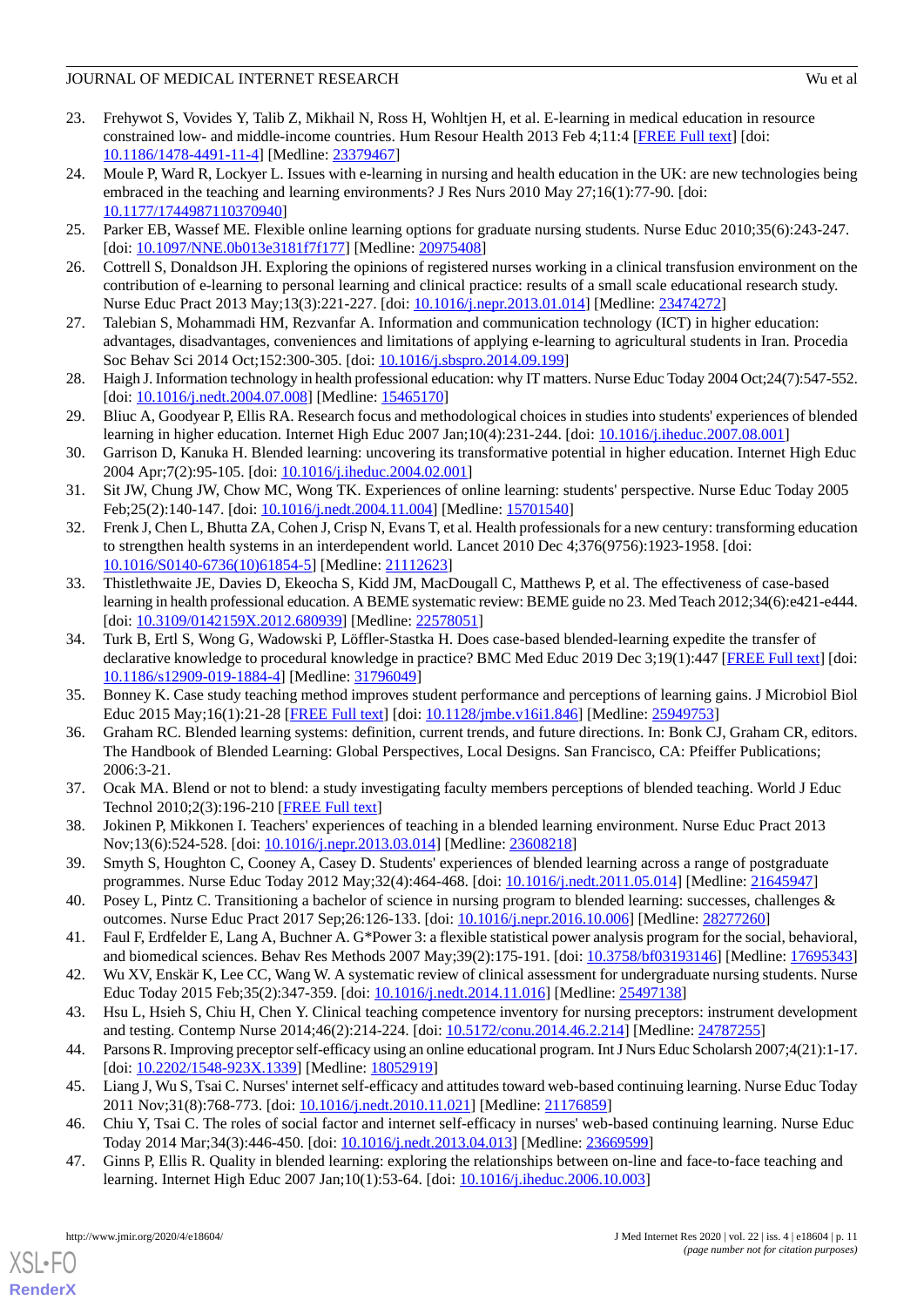- <span id="page-10-0"></span>23. Frehywot S, Vovides Y, Talib Z, Mikhail N, Ross H, Wohltjen H, et al. E-learning in medical education in resource constrained low- and middle-income countries. Hum Resour Health 2013 Feb 4;11:4 [\[FREE Full text\]](https://human-resources-health.biomedcentral.com/articles/10.1186/1478-4491-11-4) [doi: [10.1186/1478-4491-11-4\]](http://dx.doi.org/10.1186/1478-4491-11-4) [Medline: [23379467\]](http://www.ncbi.nlm.nih.gov/entrez/query.fcgi?cmd=Retrieve&db=PubMed&list_uids=23379467&dopt=Abstract)
- <span id="page-10-1"></span>24. Moule P, Ward R, Lockyer L. Issues with e-learning in nursing and health education in the UK: are new technologies being embraced in the teaching and learning environments? J Res Nurs 2010 May 27;16(1):77-90. [doi: [10.1177/1744987110370940\]](http://dx.doi.org/10.1177/1744987110370940)
- <span id="page-10-3"></span><span id="page-10-2"></span>25. Parker EB, Wassef ME. Flexible online learning options for graduate nursing students. Nurse Educ 2010;35(6):243-247. [doi: [10.1097/NNE.0b013e3181f7f177](http://dx.doi.org/10.1097/NNE.0b013e3181f7f177)] [Medline: [20975408](http://www.ncbi.nlm.nih.gov/entrez/query.fcgi?cmd=Retrieve&db=PubMed&list_uids=20975408&dopt=Abstract)]
- <span id="page-10-4"></span>26. Cottrell S, Donaldson JH. Exploring the opinions of registered nurses working in a clinical transfusion environment on the contribution of e-learning to personal learning and clinical practice: results of a small scale educational research study. Nurse Educ Pract 2013 May;13(3):221-227. [doi: [10.1016/j.nepr.2013.01.014](http://dx.doi.org/10.1016/j.nepr.2013.01.014)] [Medline: [23474272\]](http://www.ncbi.nlm.nih.gov/entrez/query.fcgi?cmd=Retrieve&db=PubMed&list_uids=23474272&dopt=Abstract)
- <span id="page-10-5"></span>27. Talebian S, Mohammadi HM, Rezvanfar A. Information and communication technology (ICT) in higher education: advantages, disadvantages, conveniences and limitations of applying e-learning to agricultural students in Iran. Procedia Soc Behav Sci 2014 Oct;152:300-305. [doi: [10.1016/j.sbspro.2014.09.199\]](http://dx.doi.org/10.1016/j.sbspro.2014.09.199)
- <span id="page-10-6"></span>28. Haigh J. Information technology in health professional education: why IT matters. Nurse Educ Today 2004 Oct;24(7):547-552. [doi: [10.1016/j.nedt.2004.07.008](http://dx.doi.org/10.1016/j.nedt.2004.07.008)] [Medline: [15465170\]](http://www.ncbi.nlm.nih.gov/entrez/query.fcgi?cmd=Retrieve&db=PubMed&list_uids=15465170&dopt=Abstract)
- <span id="page-10-7"></span>29. Bliuc A, Goodyear P, Ellis RA. Research focus and methodological choices in studies into students' experiences of blended learning in higher education. Internet High Educ 2007 Jan;10(4):231-244. [doi: [10.1016/j.iheduc.2007.08.001\]](http://dx.doi.org/10.1016/j.iheduc.2007.08.001)
- <span id="page-10-8"></span>30. Garrison D, Kanuka H. Blended learning: uncovering its transformative potential in higher education. Internet High Educ 2004 Apr;7(2):95-105. [doi: [10.1016/j.iheduc.2004.02.001](http://dx.doi.org/10.1016/j.iheduc.2004.02.001)]
- <span id="page-10-9"></span>31. Sit JW, Chung JW, Chow MC, Wong TK. Experiences of online learning: students' perspective. Nurse Educ Today 2005 Feb;25(2):140-147. [doi: [10.1016/j.nedt.2004.11.004\]](http://dx.doi.org/10.1016/j.nedt.2004.11.004) [Medline: [15701540](http://www.ncbi.nlm.nih.gov/entrez/query.fcgi?cmd=Retrieve&db=PubMed&list_uids=15701540&dopt=Abstract)]
- <span id="page-10-10"></span>32. Frenk J, Chen L, Bhutta ZA, Cohen J, Crisp N, Evans T, et al. Health professionals for a new century: transforming education to strengthen health systems in an interdependent world. Lancet 2010 Dec 4;376(9756):1923-1958. [doi: [10.1016/S0140-6736\(10\)61854-5\]](http://dx.doi.org/10.1016/S0140-6736(10)61854-5) [Medline: [21112623](http://www.ncbi.nlm.nih.gov/entrez/query.fcgi?cmd=Retrieve&db=PubMed&list_uids=21112623&dopt=Abstract)]
- <span id="page-10-11"></span>33. Thistlethwaite JE, Davies D, Ekeocha S, Kidd JM, MacDougall C, Matthews P, et al. The effectiveness of case-based learning in health professional education. A BEME systematic review: BEME guide no 23. Med Teach 2012;34(6):e421-e444. [doi: [10.3109/0142159X.2012.680939](http://dx.doi.org/10.3109/0142159X.2012.680939)] [Medline: [22578051](http://www.ncbi.nlm.nih.gov/entrez/query.fcgi?cmd=Retrieve&db=PubMed&list_uids=22578051&dopt=Abstract)]
- <span id="page-10-13"></span><span id="page-10-12"></span>34. Turk B, Ertl S, Wong G, Wadowski P, Löffler-Stastka H. Does case-based blended-learning expedite the transfer of declarative knowledge to procedural knowledge in practice? BMC Med Educ 2019 Dec 3;19(1):447 [\[FREE Full text](https://bmcmededuc.biomedcentral.com/articles/10.1186/s12909-019-1884-4)] [doi: [10.1186/s12909-019-1884-4\]](http://dx.doi.org/10.1186/s12909-019-1884-4) [Medline: [31796049](http://www.ncbi.nlm.nih.gov/entrez/query.fcgi?cmd=Retrieve&db=PubMed&list_uids=31796049&dopt=Abstract)]
- <span id="page-10-14"></span>35. Bonney K. Case study teaching method improves student performance and perceptions of learning gains. J Microbiol Biol Educ 2015 May;16(1):21-28 [[FREE Full text](http://europepmc.org/abstract/MED/25949753)] [doi: [10.1128/jmbe.v16i1.846](http://dx.doi.org/10.1128/jmbe.v16i1.846)] [Medline: [25949753](http://www.ncbi.nlm.nih.gov/entrez/query.fcgi?cmd=Retrieve&db=PubMed&list_uids=25949753&dopt=Abstract)]
- <span id="page-10-15"></span>36. Graham RC. Blended learning systems: definition, current trends, and future directions. In: Bonk CJ, Graham CR, editors. The Handbook of Blended Learning: Global Perspectives, Local Designs. San Francisco, CA: Pfeiffer Publications; 2006:3-21.
- <span id="page-10-16"></span>37. Ocak MA. Blend or not to blend: a study investigating faculty members perceptions of blended teaching. World J Educ Technol 2010;2(3):196-210 [\[FREE Full text\]](https://www.semanticscholar.org/paper/Blend-or-not-to-blend%3A-a-study-investigating-of-Ocak/0b9fd806ae19e214acdded38ae6e0fcffbbde18d)
- <span id="page-10-17"></span>38. Jokinen P, Mikkonen I. Teachers' experiences of teaching in a blended learning environment. Nurse Educ Pract 2013 Nov;13(6):524-528. [doi: [10.1016/j.nepr.2013.03.014\]](http://dx.doi.org/10.1016/j.nepr.2013.03.014) [Medline: [23608218\]](http://www.ncbi.nlm.nih.gov/entrez/query.fcgi?cmd=Retrieve&db=PubMed&list_uids=23608218&dopt=Abstract)
- <span id="page-10-19"></span><span id="page-10-18"></span>39. Smyth S, Houghton C, Cooney A, Casey D. Students' experiences of blended learning across a range of postgraduate programmes. Nurse Educ Today 2012 May;32(4):464-468. [doi: [10.1016/j.nedt.2011.05.014](http://dx.doi.org/10.1016/j.nedt.2011.05.014)] [Medline: [21645947](http://www.ncbi.nlm.nih.gov/entrez/query.fcgi?cmd=Retrieve&db=PubMed&list_uids=21645947&dopt=Abstract)]
- <span id="page-10-20"></span>40. Posey L, Pintz C. Transitioning a bachelor of science in nursing program to blended learning: successes, challenges & outcomes. Nurse Educ Pract 2017 Sep;26:126-133. [doi: [10.1016/j.nepr.2016.10.006](http://dx.doi.org/10.1016/j.nepr.2016.10.006)] [Medline: [28277260](http://www.ncbi.nlm.nih.gov/entrez/query.fcgi?cmd=Retrieve&db=PubMed&list_uids=28277260&dopt=Abstract)]
- <span id="page-10-21"></span>41. Faul F, Erdfelder E, Lang A, Buchner A. G\*Power 3: a flexible statistical power analysis program for the social, behavioral, and biomedical sciences. Behav Res Methods 2007 May;39(2):175-191. [doi: [10.3758/bf03193146\]](http://dx.doi.org/10.3758/bf03193146) [Medline: [17695343](http://www.ncbi.nlm.nih.gov/entrez/query.fcgi?cmd=Retrieve&db=PubMed&list_uids=17695343&dopt=Abstract)]
- <span id="page-10-22"></span>42. Wu XV, Enskär K, Lee CC, Wang W. A systematic review of clinical assessment for undergraduate nursing students. Nurse Educ Today 2015 Feb;35(2):347-359. [doi: [10.1016/j.nedt.2014.11.016\]](http://dx.doi.org/10.1016/j.nedt.2014.11.016) [Medline: [25497138](http://www.ncbi.nlm.nih.gov/entrez/query.fcgi?cmd=Retrieve&db=PubMed&list_uids=25497138&dopt=Abstract)]
- <span id="page-10-23"></span>43. Hsu L, Hsieh S, Chiu H, Chen Y. Clinical teaching competence inventory for nursing preceptors: instrument development and testing. Contemp Nurse 2014;46(2):214-224. [doi: [10.5172/conu.2014.46.2.214](http://dx.doi.org/10.5172/conu.2014.46.2.214)] [Medline: [24787255](http://www.ncbi.nlm.nih.gov/entrez/query.fcgi?cmd=Retrieve&db=PubMed&list_uids=24787255&dopt=Abstract)]
- <span id="page-10-24"></span>44. Parsons R. Improving preceptor self-efficacy using an online educational program. Int J Nurs Educ Scholarsh 2007;4(21):1-17. [doi: [10.2202/1548-923X.1339](http://dx.doi.org/10.2202/1548-923X.1339)] [Medline: [18052919](http://www.ncbi.nlm.nih.gov/entrez/query.fcgi?cmd=Retrieve&db=PubMed&list_uids=18052919&dopt=Abstract)]
- 45. Liang J, Wu S, Tsai C. Nurses' internet self-efficacy and attitudes toward web-based continuing learning. Nurse Educ Today 2011 Nov;31(8):768-773. [doi: [10.1016/j.nedt.2010.11.021](http://dx.doi.org/10.1016/j.nedt.2010.11.021)] [Medline: [21176859](http://www.ncbi.nlm.nih.gov/entrez/query.fcgi?cmd=Retrieve&db=PubMed&list_uids=21176859&dopt=Abstract)]
- 46. Chiu Y, Tsai C. The roles of social factor and internet self-efficacy in nurses' web-based continuing learning. Nurse Educ Today 2014 Mar;34(3):446-450. [doi: [10.1016/j.nedt.2013.04.013](http://dx.doi.org/10.1016/j.nedt.2013.04.013)] [Medline: [23669599\]](http://www.ncbi.nlm.nih.gov/entrez/query.fcgi?cmd=Retrieve&db=PubMed&list_uids=23669599&dopt=Abstract)
- 47. Ginns P, Ellis R. Quality in blended learning: exploring the relationships between on-line and face-to-face teaching and learning. Internet High Educ 2007 Jan;10(1):53-64. [doi: [10.1016/j.iheduc.2006.10.003\]](http://dx.doi.org/10.1016/j.iheduc.2006.10.003)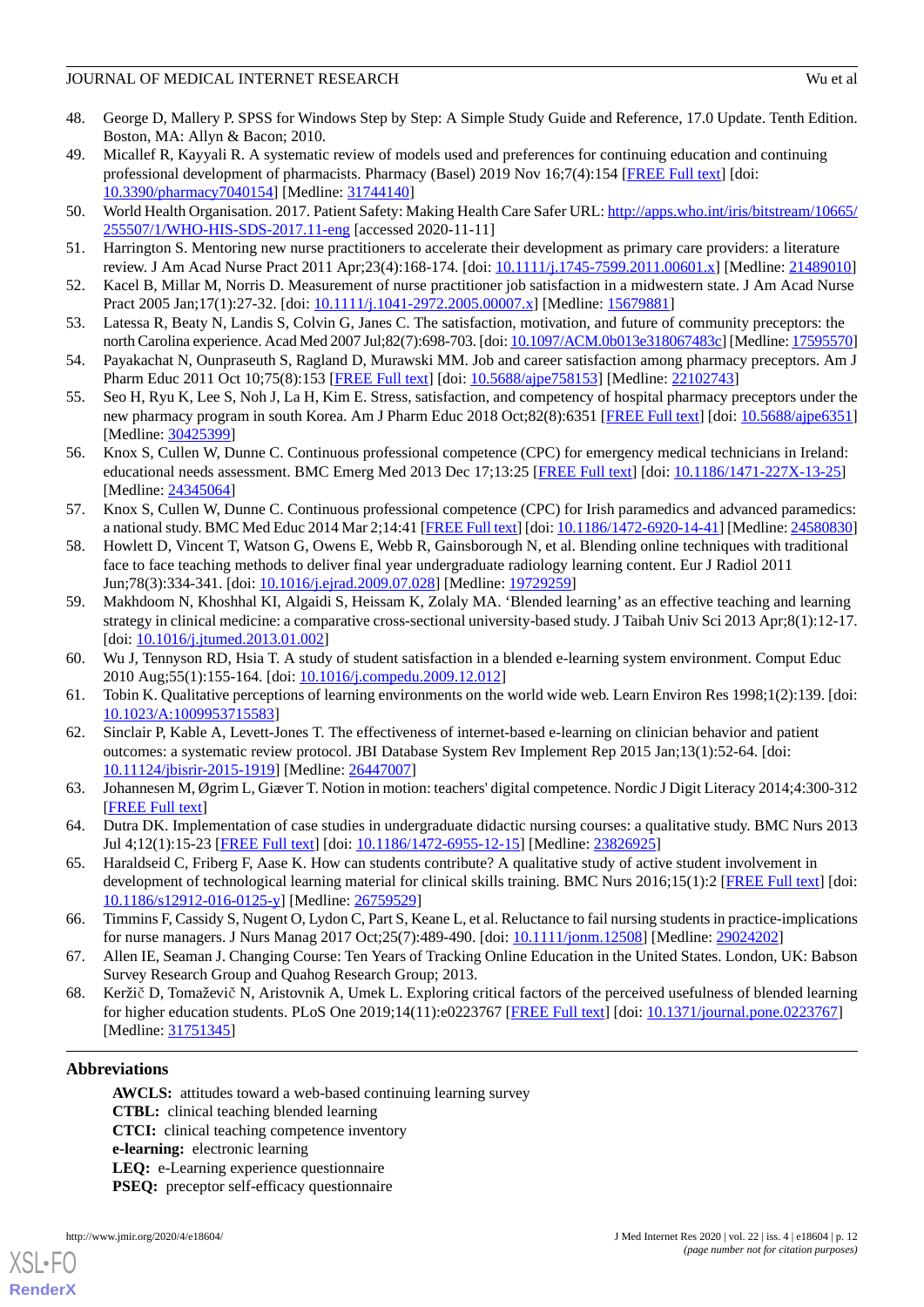- <span id="page-11-0"></span>48. George D, Mallery P. SPSS for Windows Step by Step: A Simple Study Guide and Reference, 17.0 Update. Tenth Edition. Boston, MA: Allyn & Bacon; 2010.
- <span id="page-11-1"></span>49. Micallef R, Kayyali R. A systematic review of models used and preferences for continuing education and continuing professional development of pharmacists. Pharmacy (Basel) 2019 Nov 16;7(4):154 [\[FREE Full text](http://www.mdpi.com/resolver?pii=pharmacy7040154)] [doi: [10.3390/pharmacy7040154](http://dx.doi.org/10.3390/pharmacy7040154)] [Medline: [31744140\]](http://www.ncbi.nlm.nih.gov/entrez/query.fcgi?cmd=Retrieve&db=PubMed&list_uids=31744140&dopt=Abstract)
- <span id="page-11-3"></span><span id="page-11-2"></span>50. World Health Organisation. 2017. Patient Safety: Making Health Care Safer URL: [http://apps.who.int/iris/bitstream/10665/](http://apps.who.int/iris/bitstream/10665/255507/1/WHO-HIS-SDS-2017.11-eng) [255507/1/WHO-HIS-SDS-2017.11-eng](http://apps.who.int/iris/bitstream/10665/255507/1/WHO-HIS-SDS-2017.11-eng) [accessed 2020-11-11]
- <span id="page-11-4"></span>51. Harrington S. Mentoring new nurse practitioners to accelerate their development as primary care providers: a literature review. J Am Acad Nurse Pract 2011 Apr;23(4):168-174. [doi: [10.1111/j.1745-7599.2011.00601.x\]](http://dx.doi.org/10.1111/j.1745-7599.2011.00601.x) [Medline: [21489010\]](http://www.ncbi.nlm.nih.gov/entrez/query.fcgi?cmd=Retrieve&db=PubMed&list_uids=21489010&dopt=Abstract)
- <span id="page-11-5"></span>52. Kacel B, Millar M, Norris D. Measurement of nurse practitioner job satisfaction in a midwestern state. J Am Acad Nurse Pract 2005 Jan;17(1):27-32. [doi: [10.1111/j.1041-2972.2005.00007.x\]](http://dx.doi.org/10.1111/j.1041-2972.2005.00007.x) [Medline: [15679881\]](http://www.ncbi.nlm.nih.gov/entrez/query.fcgi?cmd=Retrieve&db=PubMed&list_uids=15679881&dopt=Abstract)
- <span id="page-11-6"></span>53. Latessa R, Beaty N, Landis S, Colvin G, Janes C. The satisfaction, motivation, and future of community preceptors: the north Carolina experience. Acad Med 2007 Jul;82(7):698-703. [doi: [10.1097/ACM.0b013e318067483c](http://dx.doi.org/10.1097/ACM.0b013e318067483c)] [Medline: [17595570\]](http://www.ncbi.nlm.nih.gov/entrez/query.fcgi?cmd=Retrieve&db=PubMed&list_uids=17595570&dopt=Abstract)
- <span id="page-11-7"></span>54. Payakachat N, Ounpraseuth S, Ragland D, Murawski MM. Job and career satisfaction among pharmacy preceptors. Am J Pharm Educ 2011 Oct 10;75(8):153 [[FREE Full text](http://europepmc.org/abstract/MED/22102743)] [doi: [10.5688/ajpe758153](http://dx.doi.org/10.5688/ajpe758153)] [Medline: [22102743](http://www.ncbi.nlm.nih.gov/entrez/query.fcgi?cmd=Retrieve&db=PubMed&list_uids=22102743&dopt=Abstract)]
- <span id="page-11-8"></span>55. Seo H, Ryu K, Lee S, Noh J, La H, Kim E. Stress, satisfaction, and competency of hospital pharmacy preceptors under the new pharmacy program in south Korea. Am J Pharm Educ 2018 Oct;82(8):6351 [[FREE Full text\]](http://europepmc.org/abstract/MED/30425399) [doi: [10.5688/ajpe6351](http://dx.doi.org/10.5688/ajpe6351)] [Medline: [30425399](http://www.ncbi.nlm.nih.gov/entrez/query.fcgi?cmd=Retrieve&db=PubMed&list_uids=30425399&dopt=Abstract)]
- <span id="page-11-9"></span>56. Knox S, Cullen W, Dunne C. Continuous professional competence (CPC) for emergency medical technicians in Ireland: educational needs assessment. BMC Emerg Med 2013 Dec 17;13:25 [[FREE Full text](https://bmcemergmed.biomedcentral.com/articles/10.1186/1471-227X-13-25)] [doi: [10.1186/1471-227X-13-25\]](http://dx.doi.org/10.1186/1471-227X-13-25) [Medline: [24345064](http://www.ncbi.nlm.nih.gov/entrez/query.fcgi?cmd=Retrieve&db=PubMed&list_uids=24345064&dopt=Abstract)]
- <span id="page-11-10"></span>57. Knox S, Cullen W, Dunne C. Continuous professional competence (CPC) for Irish paramedics and advanced paramedics: a national study. BMC Med Educ 2014 Mar 2;14:41 [\[FREE Full text](https://bmcmededuc.biomedcentral.com/articles/10.1186/1472-6920-14-41)] [doi: [10.1186/1472-6920-14-41\]](http://dx.doi.org/10.1186/1472-6920-14-41) [Medline: [24580830](http://www.ncbi.nlm.nih.gov/entrez/query.fcgi?cmd=Retrieve&db=PubMed&list_uids=24580830&dopt=Abstract)]
- 58. Howlett D, Vincent T, Watson G, Owens E, Webb R, Gainsborough N, et al. Blending online techniques with traditional face to face teaching methods to deliver final year undergraduate radiology learning content. Eur J Radiol 2011 Jun;78(3):334-341. [doi: [10.1016/j.ejrad.2009.07.028](http://dx.doi.org/10.1016/j.ejrad.2009.07.028)] [Medline: [19729259](http://www.ncbi.nlm.nih.gov/entrez/query.fcgi?cmd=Retrieve&db=PubMed&list_uids=19729259&dopt=Abstract)]
- <span id="page-11-12"></span><span id="page-11-11"></span>59. Makhdoom N, Khoshhal KI, Algaidi S, Heissam K, Zolaly MA. 'Blended learning' as an effective teaching and learning strategy in clinical medicine: a comparative cross-sectional university-based study. J Taibah Univ Sci 2013 Apr;8(1):12-17. [doi: [10.1016/j.jtumed.2013.01.002\]](http://dx.doi.org/10.1016/j.jtumed.2013.01.002)
- <span id="page-11-13"></span>60. Wu J, Tennyson RD, Hsia T. A study of student satisfaction in a blended e-learning system environment. Comput Educ 2010 Aug;55(1):155-164. [doi: [10.1016/j.compedu.2009.12.012\]](http://dx.doi.org/10.1016/j.compedu.2009.12.012)
- <span id="page-11-14"></span>61. Tobin K. Qualitative perceptions of learning environments on the world wide web. Learn Environ Res 1998;1(2):139. [doi: [10.1023/A:1009953715583\]](http://dx.doi.org/10.1023/A:1009953715583)
- <span id="page-11-15"></span>62. Sinclair P, Kable A, Levett-Jones T. The effectiveness of internet-based e-learning on clinician behavior and patient outcomes: a systematic review protocol. JBI Database System Rev Implement Rep 2015 Jan;13(1):52-64. [doi: [10.11124/jbisrir-2015-1919](http://dx.doi.org/10.11124/jbisrir-2015-1919)] [Medline: [26447007\]](http://www.ncbi.nlm.nih.gov/entrez/query.fcgi?cmd=Retrieve&db=PubMed&list_uids=26447007&dopt=Abstract)
- <span id="page-11-16"></span>63. Johannesen M, Øgrim L, Giæver T. Notion in motion: teachers' digital competence. Nordic J Digit Literacy 2014;4:300-312 [[FREE Full text](https://www.researchgate.net/publication/279556595_Notion_in_Motion_Teachers)]
- <span id="page-11-17"></span>64. Dutra DK. Implementation of case studies in undergraduate didactic nursing courses: a qualitative study. BMC Nurs 2013 Jul 4;12(1):15-23 [\[FREE Full text](https://bmcnurs.biomedcentral.com/articles/10.1186/1472-6955-12-15)] [doi: [10.1186/1472-6955-12-15\]](http://dx.doi.org/10.1186/1472-6955-12-15) [Medline: [23826925\]](http://www.ncbi.nlm.nih.gov/entrez/query.fcgi?cmd=Retrieve&db=PubMed&list_uids=23826925&dopt=Abstract)
- <span id="page-11-18"></span>65. Haraldseid C, Friberg F, Aase K. How can students contribute? A qualitative study of active student involvement in development of technological learning material for clinical skills training. BMC Nurs 2016;15(1):2 [[FREE Full text](https://bmcnurs.biomedcentral.com/articles/10.1186/s12912-016-0125-y)] [doi: [10.1186/s12912-016-0125-y\]](http://dx.doi.org/10.1186/s12912-016-0125-y) [Medline: [26759529](http://www.ncbi.nlm.nih.gov/entrez/query.fcgi?cmd=Retrieve&db=PubMed&list_uids=26759529&dopt=Abstract)]
- <span id="page-11-19"></span>66. Timmins F, Cassidy S, Nugent O, Lydon C, Part S, Keane L, et al. Reluctance to fail nursing students in practice-implications for nurse managers. J Nurs Manag 2017 Oct;25(7):489-490. [doi: [10.1111/jonm.12508\]](http://dx.doi.org/10.1111/jonm.12508) [Medline: [29024202\]](http://www.ncbi.nlm.nih.gov/entrez/query.fcgi?cmd=Retrieve&db=PubMed&list_uids=29024202&dopt=Abstract)
- 67. Allen IE, Seaman J. Changing Course: Ten Years of Tracking Online Education in the United States. London, UK: Babson Survey Research Group and Quahog Research Group; 2013.
- 68. Keržič D, Tomaževič N, Aristovnik A, Umek L. Exploring critical factors of the perceived usefulness of blended learning for higher education students. PLoS One 2019;14(11):e0223767 [\[FREE Full text\]](http://dx.plos.org/10.1371/journal.pone.0223767) [doi: [10.1371/journal.pone.0223767\]](http://dx.doi.org/10.1371/journal.pone.0223767) [Medline: [31751345](http://www.ncbi.nlm.nih.gov/entrez/query.fcgi?cmd=Retrieve&db=PubMed&list_uids=31751345&dopt=Abstract)]

### **Abbreviations**

**AWCLS:** attitudes toward a web-based continuing learning survey **CTBL:** clinical teaching blended learning **CTCI:** clinical teaching competence inventory **e-learning:** electronic learning **LEQ:** e-Learning experience questionnaire **PSEQ:** preceptor self-efficacy questionnaire